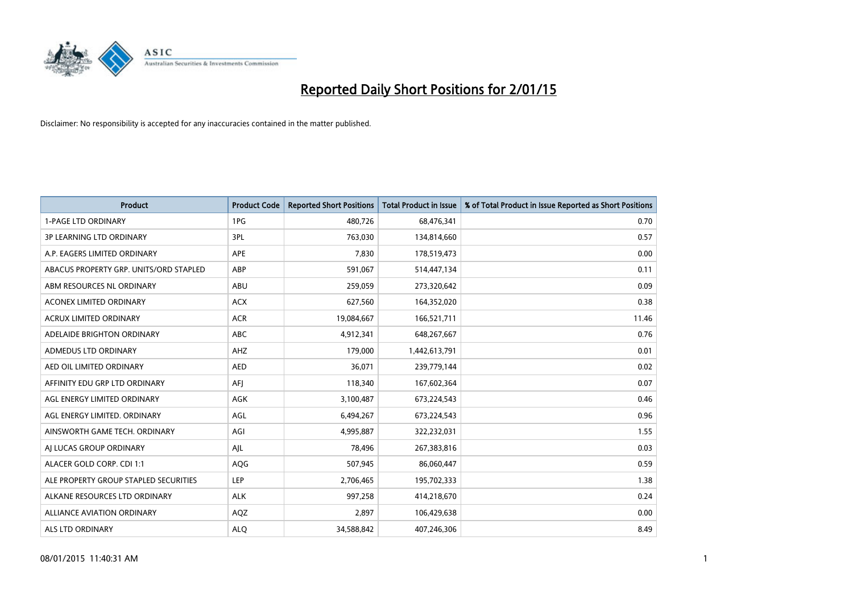

| <b>Product</b>                         | <b>Product Code</b> | <b>Reported Short Positions</b> | <b>Total Product in Issue</b> | % of Total Product in Issue Reported as Short Positions |
|----------------------------------------|---------------------|---------------------------------|-------------------------------|---------------------------------------------------------|
| <b>1-PAGE LTD ORDINARY</b>             | 1PG                 | 480,726                         | 68,476,341                    | 0.70                                                    |
| 3P LEARNING LTD ORDINARY               | 3PL                 | 763,030                         | 134,814,660                   | 0.57                                                    |
| A.P. EAGERS LIMITED ORDINARY           | <b>APE</b>          | 7,830                           | 178,519,473                   | 0.00                                                    |
| ABACUS PROPERTY GRP. UNITS/ORD STAPLED | ABP                 | 591,067                         | 514,447,134                   | 0.11                                                    |
| ABM RESOURCES NL ORDINARY              | ABU                 | 259,059                         | 273,320,642                   | 0.09                                                    |
| <b>ACONEX LIMITED ORDINARY</b>         | <b>ACX</b>          | 627,560                         | 164,352,020                   | 0.38                                                    |
| <b>ACRUX LIMITED ORDINARY</b>          | <b>ACR</b>          | 19,084,667                      | 166,521,711                   | 11.46                                                   |
| ADELAIDE BRIGHTON ORDINARY             | <b>ABC</b>          | 4,912,341                       | 648,267,667                   | 0.76                                                    |
| ADMEDUS LTD ORDINARY                   | AHZ                 | 179,000                         | 1,442,613,791                 | 0.01                                                    |
| AED OIL LIMITED ORDINARY               | <b>AED</b>          | 36,071                          | 239,779,144                   | 0.02                                                    |
| AFFINITY EDU GRP LTD ORDINARY          | AFI                 | 118,340                         | 167,602,364                   | 0.07                                                    |
| AGL ENERGY LIMITED ORDINARY            | AGK                 | 3,100,487                       | 673,224,543                   | 0.46                                                    |
| AGL ENERGY LIMITED. ORDINARY           | AGL                 | 6,494,267                       | 673,224,543                   | 0.96                                                    |
| AINSWORTH GAME TECH. ORDINARY          | AGI                 | 4,995,887                       | 322,232,031                   | 1.55                                                    |
| AI LUCAS GROUP ORDINARY                | AJL                 | 78,496                          | 267,383,816                   | 0.03                                                    |
| ALACER GOLD CORP. CDI 1:1              | AQG                 | 507,945                         | 86,060,447                    | 0.59                                                    |
| ALE PROPERTY GROUP STAPLED SECURITIES  | LEP                 | 2,706,465                       | 195,702,333                   | 1.38                                                    |
| ALKANE RESOURCES LTD ORDINARY          | <b>ALK</b>          | 997,258                         | 414,218,670                   | 0.24                                                    |
| <b>ALLIANCE AVIATION ORDINARY</b>      | AQZ                 | 2,897                           | 106,429,638                   | 0.00                                                    |
| ALS LTD ORDINARY                       | <b>ALO</b>          | 34,588,842                      | 407,246,306                   | 8.49                                                    |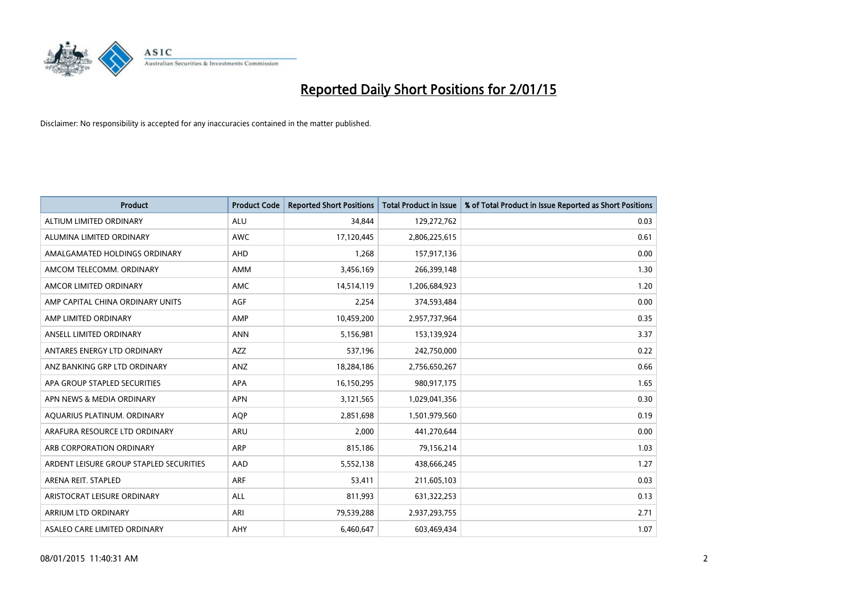

| <b>Product</b>                          | <b>Product Code</b> | <b>Reported Short Positions</b> | <b>Total Product in Issue</b> | % of Total Product in Issue Reported as Short Positions |
|-----------------------------------------|---------------------|---------------------------------|-------------------------------|---------------------------------------------------------|
| ALTIUM LIMITED ORDINARY                 | <b>ALU</b>          | 34,844                          | 129,272,762                   | 0.03                                                    |
| ALUMINA LIMITED ORDINARY                | <b>AWC</b>          | 17,120,445                      | 2,806,225,615                 | 0.61                                                    |
| AMALGAMATED HOLDINGS ORDINARY           | AHD                 | 1,268                           | 157,917,136                   | 0.00                                                    |
| AMCOM TELECOMM, ORDINARY                | AMM                 | 3,456,169                       | 266,399,148                   | 1.30                                                    |
| AMCOR LIMITED ORDINARY                  | AMC                 | 14,514,119                      | 1,206,684,923                 | 1.20                                                    |
| AMP CAPITAL CHINA ORDINARY UNITS        | AGF                 | 2,254                           | 374,593,484                   | 0.00                                                    |
| AMP LIMITED ORDINARY                    | AMP                 | 10,459,200                      | 2,957,737,964                 | 0.35                                                    |
| ANSELL LIMITED ORDINARY                 | <b>ANN</b>          | 5,156,981                       | 153,139,924                   | 3.37                                                    |
| ANTARES ENERGY LTD ORDINARY             | <b>AZZ</b>          | 537,196                         | 242,750,000                   | 0.22                                                    |
| ANZ BANKING GRP LTD ORDINARY            | ANZ                 | 18,284,186                      | 2,756,650,267                 | 0.66                                                    |
| APA GROUP STAPLED SECURITIES            | APA                 | 16,150,295                      | 980,917,175                   | 1.65                                                    |
| APN NEWS & MEDIA ORDINARY               | <b>APN</b>          | 3,121,565                       | 1,029,041,356                 | 0.30                                                    |
| AQUARIUS PLATINUM. ORDINARY             | <b>AOP</b>          | 2,851,698                       | 1,501,979,560                 | 0.19                                                    |
| ARAFURA RESOURCE LTD ORDINARY           | <b>ARU</b>          | 2,000                           | 441,270,644                   | 0.00                                                    |
| ARB CORPORATION ORDINARY                | ARP                 | 815,186                         | 79,156,214                    | 1.03                                                    |
| ARDENT LEISURE GROUP STAPLED SECURITIES | AAD                 | 5,552,138                       | 438,666,245                   | 1.27                                                    |
| ARENA REIT. STAPLED                     | <b>ARF</b>          | 53,411                          | 211,605,103                   | 0.03                                                    |
| ARISTOCRAT LEISURE ORDINARY             | ALL                 | 811,993                         | 631,322,253                   | 0.13                                                    |
| ARRIUM LTD ORDINARY                     | ARI                 | 79,539,288                      | 2,937,293,755                 | 2.71                                                    |
| ASALEO CARE LIMITED ORDINARY            | AHY                 | 6,460,647                       | 603,469,434                   | 1.07                                                    |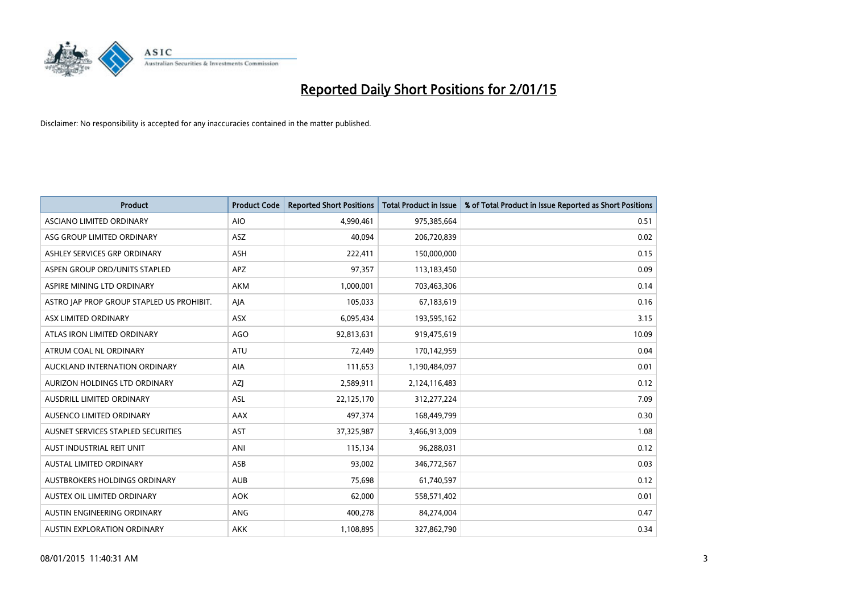

| <b>Product</b>                            | <b>Product Code</b> | <b>Reported Short Positions</b> | <b>Total Product in Issue</b> | % of Total Product in Issue Reported as Short Positions |
|-------------------------------------------|---------------------|---------------------------------|-------------------------------|---------------------------------------------------------|
| ASCIANO LIMITED ORDINARY                  | <b>AIO</b>          | 4,990,461                       | 975,385,664                   | 0.51                                                    |
| ASG GROUP LIMITED ORDINARY                | ASZ                 | 40,094                          | 206,720,839                   | 0.02                                                    |
| ASHLEY SERVICES GRP ORDINARY              | ASH                 | 222,411                         | 150,000,000                   | 0.15                                                    |
| ASPEN GROUP ORD/UNITS STAPLED             | <b>APZ</b>          | 97,357                          | 113,183,450                   | 0.09                                                    |
| ASPIRE MINING LTD ORDINARY                | <b>AKM</b>          | 1,000,001                       | 703,463,306                   | 0.14                                                    |
| ASTRO JAP PROP GROUP STAPLED US PROHIBIT. | AJA                 | 105,033                         | 67,183,619                    | 0.16                                                    |
| ASX LIMITED ORDINARY                      | ASX                 | 6,095,434                       | 193,595,162                   | 3.15                                                    |
| ATLAS IRON LIMITED ORDINARY               | <b>AGO</b>          | 92,813,631                      | 919,475,619                   | 10.09                                                   |
| ATRUM COAL NL ORDINARY                    | <b>ATU</b>          | 72,449                          | 170,142,959                   | 0.04                                                    |
| AUCKLAND INTERNATION ORDINARY             | <b>AIA</b>          | 111,653                         | 1,190,484,097                 | 0.01                                                    |
| AURIZON HOLDINGS LTD ORDINARY             | AZJ                 | 2,589,911                       | 2,124,116,483                 | 0.12                                                    |
| AUSDRILL LIMITED ORDINARY                 | ASL                 | 22,125,170                      | 312,277,224                   | 7.09                                                    |
| AUSENCO LIMITED ORDINARY                  | AAX                 | 497,374                         | 168,449,799                   | 0.30                                                    |
| AUSNET SERVICES STAPLED SECURITIES        | <b>AST</b>          | 37,325,987                      | 3,466,913,009                 | 1.08                                                    |
| AUST INDUSTRIAL REIT UNIT                 | ANI                 | 115,134                         | 96,288,031                    | 0.12                                                    |
| AUSTAL LIMITED ORDINARY                   | ASB                 | 93,002                          | 346,772,567                   | 0.03                                                    |
| AUSTBROKERS HOLDINGS ORDINARY             | <b>AUB</b>          | 75,698                          | 61,740,597                    | 0.12                                                    |
| AUSTEX OIL LIMITED ORDINARY               | <b>AOK</b>          | 62,000                          | 558,571,402                   | 0.01                                                    |
| AUSTIN ENGINEERING ORDINARY               | ANG                 | 400,278                         | 84,274,004                    | 0.47                                                    |
| AUSTIN EXPLORATION ORDINARY               | <b>AKK</b>          | 1,108,895                       | 327,862,790                   | 0.34                                                    |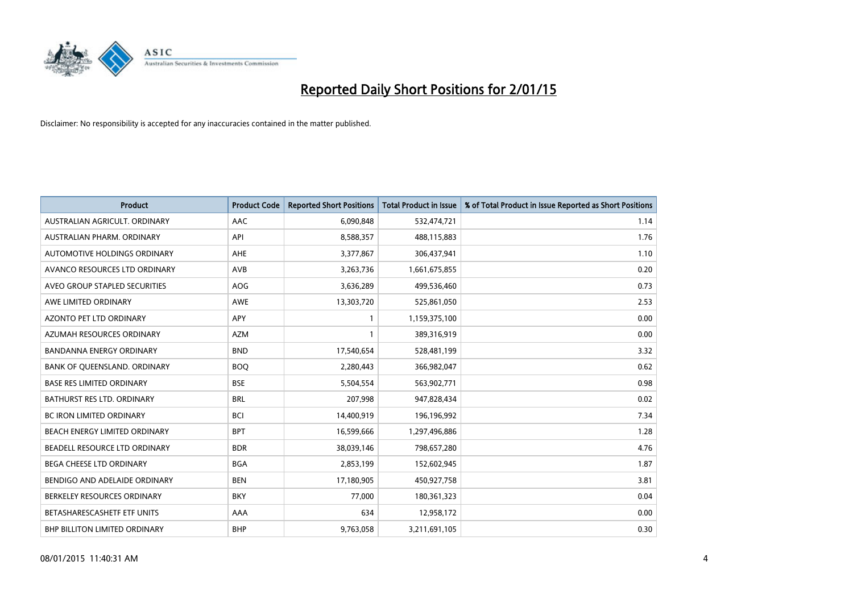

| <b>Product</b>                   | <b>Product Code</b> | <b>Reported Short Positions</b> | <b>Total Product in Issue</b> | % of Total Product in Issue Reported as Short Positions |
|----------------------------------|---------------------|---------------------------------|-------------------------------|---------------------------------------------------------|
| AUSTRALIAN AGRICULT, ORDINARY    | AAC                 | 6,090,848                       | 532,474,721                   | 1.14                                                    |
| AUSTRALIAN PHARM. ORDINARY       | API                 | 8,588,357                       | 488,115,883                   | 1.76                                                    |
| AUTOMOTIVE HOLDINGS ORDINARY     | <b>AHE</b>          | 3,377,867                       | 306,437,941                   | 1.10                                                    |
| AVANCO RESOURCES LTD ORDINARY    | AVB                 | 3,263,736                       | 1,661,675,855                 | 0.20                                                    |
| AVEO GROUP STAPLED SECURITIES    | AOG                 | 3,636,289                       | 499,536,460                   | 0.73                                                    |
| AWE LIMITED ORDINARY             | <b>AWE</b>          | 13,303,720                      | 525,861,050                   | 2.53                                                    |
| <b>AZONTO PET LTD ORDINARY</b>   | <b>APY</b>          | 1                               | 1,159,375,100                 | 0.00                                                    |
| AZUMAH RESOURCES ORDINARY        | <b>AZM</b>          | 1                               | 389,316,919                   | 0.00                                                    |
| <b>BANDANNA ENERGY ORDINARY</b>  | <b>BND</b>          | 17,540,654                      | 528,481,199                   | 3.32                                                    |
| BANK OF QUEENSLAND. ORDINARY     | <b>BOQ</b>          | 2,280,443                       | 366,982,047                   | 0.62                                                    |
| <b>BASE RES LIMITED ORDINARY</b> | <b>BSE</b>          | 5,504,554                       | 563,902,771                   | 0.98                                                    |
| BATHURST RES LTD. ORDINARY       | <b>BRL</b>          | 207,998                         | 947,828,434                   | 0.02                                                    |
| <b>BC IRON LIMITED ORDINARY</b>  | <b>BCI</b>          | 14,400,919                      | 196,196,992                   | 7.34                                                    |
| BEACH ENERGY LIMITED ORDINARY    | <b>BPT</b>          | 16,599,666                      | 1,297,496,886                 | 1.28                                                    |
| BEADELL RESOURCE LTD ORDINARY    | <b>BDR</b>          | 38,039,146                      | 798,657,280                   | 4.76                                                    |
| BEGA CHEESE LTD ORDINARY         | <b>BGA</b>          | 2,853,199                       | 152,602,945                   | 1.87                                                    |
| BENDIGO AND ADELAIDE ORDINARY    | <b>BEN</b>          | 17,180,905                      | 450,927,758                   | 3.81                                                    |
| BERKELEY RESOURCES ORDINARY      | <b>BKY</b>          | 77,000                          | 180,361,323                   | 0.04                                                    |
| BETASHARESCASHETF ETF UNITS      | AAA                 | 634                             | 12,958,172                    | 0.00                                                    |
| BHP BILLITON LIMITED ORDINARY    | <b>BHP</b>          | 9,763,058                       | 3,211,691,105                 | 0.30                                                    |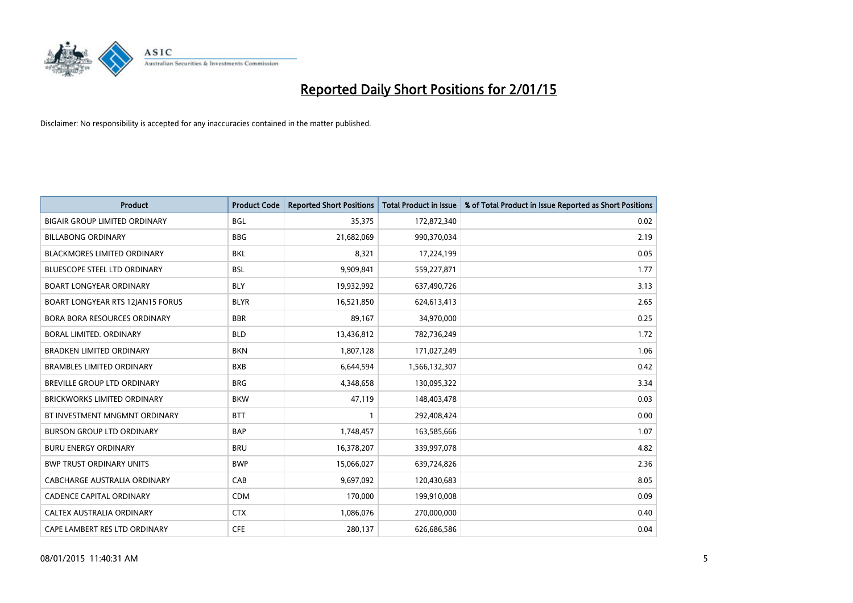

| <b>Product</b>                       | <b>Product Code</b> | <b>Reported Short Positions</b> | <b>Total Product in Issue</b> | % of Total Product in Issue Reported as Short Positions |
|--------------------------------------|---------------------|---------------------------------|-------------------------------|---------------------------------------------------------|
| <b>BIGAIR GROUP LIMITED ORDINARY</b> | <b>BGL</b>          | 35,375                          | 172,872,340                   | 0.02                                                    |
| <b>BILLABONG ORDINARY</b>            | <b>BBG</b>          | 21,682,069                      | 990,370,034                   | 2.19                                                    |
| <b>BLACKMORES LIMITED ORDINARY</b>   | <b>BKL</b>          | 8,321                           | 17,224,199                    | 0.05                                                    |
| <b>BLUESCOPE STEEL LTD ORDINARY</b>  | <b>BSL</b>          | 9,909,841                       | 559,227,871                   | 1.77                                                    |
| <b>BOART LONGYEAR ORDINARY</b>       | <b>BLY</b>          | 19,932,992                      | 637,490,726                   | 3.13                                                    |
| BOART LONGYEAR RTS 12JAN15 FORUS     | <b>BLYR</b>         | 16,521,850                      | 624,613,413                   | 2.65                                                    |
| BORA BORA RESOURCES ORDINARY         | <b>BBR</b>          | 89,167                          | 34,970,000                    | 0.25                                                    |
| BORAL LIMITED. ORDINARY              | <b>BLD</b>          | 13,436,812                      | 782,736,249                   | 1.72                                                    |
| <b>BRADKEN LIMITED ORDINARY</b>      | <b>BKN</b>          | 1,807,128                       | 171,027,249                   | 1.06                                                    |
| <b>BRAMBLES LIMITED ORDINARY</b>     | <b>BXB</b>          | 6,644,594                       | 1,566,132,307                 | 0.42                                                    |
| BREVILLE GROUP LTD ORDINARY          | <b>BRG</b>          | 4,348,658                       | 130,095,322                   | 3.34                                                    |
| <b>BRICKWORKS LIMITED ORDINARY</b>   | <b>BKW</b>          | 47,119                          | 148,403,478                   | 0.03                                                    |
| BT INVESTMENT MNGMNT ORDINARY        | <b>BTT</b>          | $\mathbf{1}$                    | 292,408,424                   | 0.00                                                    |
| <b>BURSON GROUP LTD ORDINARY</b>     | <b>BAP</b>          | 1,748,457                       | 163,585,666                   | 1.07                                                    |
| <b>BURU ENERGY ORDINARY</b>          | <b>BRU</b>          | 16,378,207                      | 339,997,078                   | 4.82                                                    |
| <b>BWP TRUST ORDINARY UNITS</b>      | <b>BWP</b>          | 15,066,027                      | 639,724,826                   | 2.36                                                    |
| CABCHARGE AUSTRALIA ORDINARY         | CAB                 | 9,697,092                       | 120,430,683                   | 8.05                                                    |
| <b>CADENCE CAPITAL ORDINARY</b>      | <b>CDM</b>          | 170,000                         | 199,910,008                   | 0.09                                                    |
| CALTEX AUSTRALIA ORDINARY            | <b>CTX</b>          | 1,086,076                       | 270,000,000                   | 0.40                                                    |
| CAPE LAMBERT RES LTD ORDINARY        | <b>CFE</b>          | 280,137                         | 626,686,586                   | 0.04                                                    |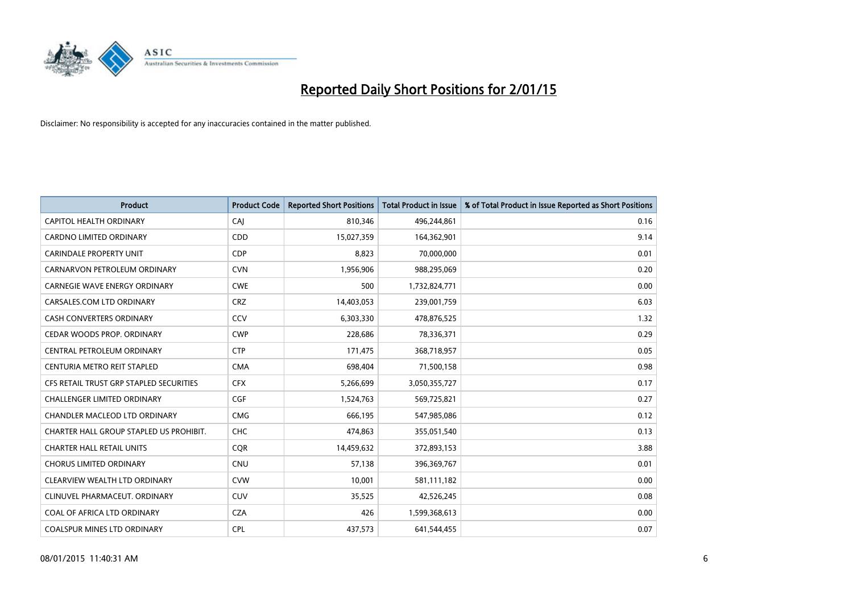

| <b>Product</b>                          | <b>Product Code</b> | <b>Reported Short Positions</b> | <b>Total Product in Issue</b> | % of Total Product in Issue Reported as Short Positions |
|-----------------------------------------|---------------------|---------------------------------|-------------------------------|---------------------------------------------------------|
| <b>CAPITOL HEALTH ORDINARY</b>          | CAJ                 | 810,346                         | 496,244,861                   | 0.16                                                    |
| CARDNO LIMITED ORDINARY                 | CDD                 | 15,027,359                      | 164,362,901                   | 9.14                                                    |
| <b>CARINDALE PROPERTY UNIT</b>          | <b>CDP</b>          | 8,823                           | 70,000,000                    | 0.01                                                    |
| CARNARVON PETROLEUM ORDINARY            | <b>CVN</b>          | 1,956,906                       | 988,295,069                   | 0.20                                                    |
| <b>CARNEGIE WAVE ENERGY ORDINARY</b>    | <b>CWE</b>          | 500                             | 1,732,824,771                 | 0.00                                                    |
| CARSALES.COM LTD ORDINARY               | <b>CRZ</b>          | 14,403,053                      | 239,001,759                   | 6.03                                                    |
| <b>CASH CONVERTERS ORDINARY</b>         | CCV                 | 6,303,330                       | 478,876,525                   | 1.32                                                    |
| CEDAR WOODS PROP. ORDINARY              | <b>CWP</b>          | 228,686                         | 78,336,371                    | 0.29                                                    |
| CENTRAL PETROLEUM ORDINARY              | <b>CTP</b>          | 171,475                         | 368,718,957                   | 0.05                                                    |
| CENTURIA METRO REIT STAPLED             | <b>CMA</b>          | 698,404                         | 71,500,158                    | 0.98                                                    |
| CFS RETAIL TRUST GRP STAPLED SECURITIES | <b>CFX</b>          | 5,266,699                       | 3,050,355,727                 | 0.17                                                    |
| <b>CHALLENGER LIMITED ORDINARY</b>      | <b>CGF</b>          | 1,524,763                       | 569,725,821                   | 0.27                                                    |
| CHANDLER MACLEOD LTD ORDINARY           | <b>CMG</b>          | 666,195                         | 547,985,086                   | 0.12                                                    |
| CHARTER HALL GROUP STAPLED US PROHIBIT. | <b>CHC</b>          | 474,863                         | 355,051,540                   | 0.13                                                    |
| <b>CHARTER HALL RETAIL UNITS</b>        | CQR                 | 14,459,632                      | 372,893,153                   | 3.88                                                    |
| <b>CHORUS LIMITED ORDINARY</b>          | <b>CNU</b>          | 57,138                          | 396,369,767                   | 0.01                                                    |
| CLEARVIEW WEALTH LTD ORDINARY           | <b>CVW</b>          | 10,001                          | 581,111,182                   | 0.00                                                    |
| CLINUVEL PHARMACEUT. ORDINARY           | <b>CUV</b>          | 35,525                          | 42,526,245                    | 0.08                                                    |
| COAL OF AFRICA LTD ORDINARY             | <b>CZA</b>          | 426                             | 1,599,368,613                 | 0.00                                                    |
| COALSPUR MINES LTD ORDINARY             | <b>CPL</b>          | 437,573                         | 641,544,455                   | 0.07                                                    |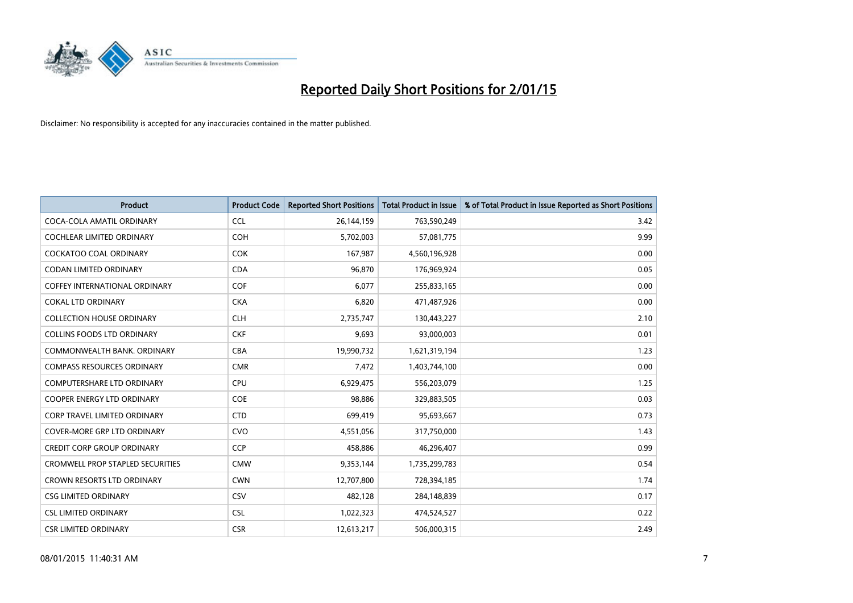

| <b>Product</b>                          | <b>Product Code</b> | <b>Reported Short Positions</b> | <b>Total Product in Issue</b> | % of Total Product in Issue Reported as Short Positions |
|-----------------------------------------|---------------------|---------------------------------|-------------------------------|---------------------------------------------------------|
| COCA-COLA AMATIL ORDINARY               | <b>CCL</b>          | 26,144,159                      | 763,590,249                   | 3.42                                                    |
| COCHLEAR LIMITED ORDINARY               | <b>COH</b>          | 5,702,003                       | 57,081,775                    | 9.99                                                    |
| COCKATOO COAL ORDINARY                  | <b>COK</b>          | 167,987                         | 4,560,196,928                 | 0.00                                                    |
| <b>CODAN LIMITED ORDINARY</b>           | <b>CDA</b>          | 96,870                          | 176,969,924                   | 0.05                                                    |
| COFFEY INTERNATIONAL ORDINARY           | <b>COF</b>          | 6,077                           | 255,833,165                   | 0.00                                                    |
| <b>COKAL LTD ORDINARY</b>               | <b>CKA</b>          | 6,820                           | 471,487,926                   | 0.00                                                    |
| <b>COLLECTION HOUSE ORDINARY</b>        | <b>CLH</b>          | 2,735,747                       | 130,443,227                   | 2.10                                                    |
| <b>COLLINS FOODS LTD ORDINARY</b>       | <b>CKF</b>          | 9,693                           | 93,000,003                    | 0.01                                                    |
| COMMONWEALTH BANK, ORDINARY             | <b>CBA</b>          | 19,990,732                      | 1,621,319,194                 | 1.23                                                    |
| <b>COMPASS RESOURCES ORDINARY</b>       | <b>CMR</b>          | 7,472                           | 1,403,744,100                 | 0.00                                                    |
| COMPUTERSHARE LTD ORDINARY              | <b>CPU</b>          | 6,929,475                       | 556,203,079                   | 1.25                                                    |
| <b>COOPER ENERGY LTD ORDINARY</b>       | <b>COE</b>          | 98,886                          | 329,883,505                   | 0.03                                                    |
| <b>CORP TRAVEL LIMITED ORDINARY</b>     | <b>CTD</b>          | 699,419                         | 95,693,667                    | 0.73                                                    |
| <b>COVER-MORE GRP LTD ORDINARY</b>      | <b>CVO</b>          | 4,551,056                       | 317,750,000                   | 1.43                                                    |
| <b>CREDIT CORP GROUP ORDINARY</b>       | <b>CCP</b>          | 458,886                         | 46,296,407                    | 0.99                                                    |
| <b>CROMWELL PROP STAPLED SECURITIES</b> | <b>CMW</b>          | 9,353,144                       | 1,735,299,783                 | 0.54                                                    |
| CROWN RESORTS LTD ORDINARY              | <b>CWN</b>          | 12,707,800                      | 728,394,185                   | 1.74                                                    |
| <b>CSG LIMITED ORDINARY</b>             | CSV                 | 482,128                         | 284,148,839                   | 0.17                                                    |
| <b>CSL LIMITED ORDINARY</b>             | <b>CSL</b>          | 1,022,323                       | 474,524,527                   | 0.22                                                    |
| <b>CSR LIMITED ORDINARY</b>             | <b>CSR</b>          | 12,613,217                      | 506,000,315                   | 2.49                                                    |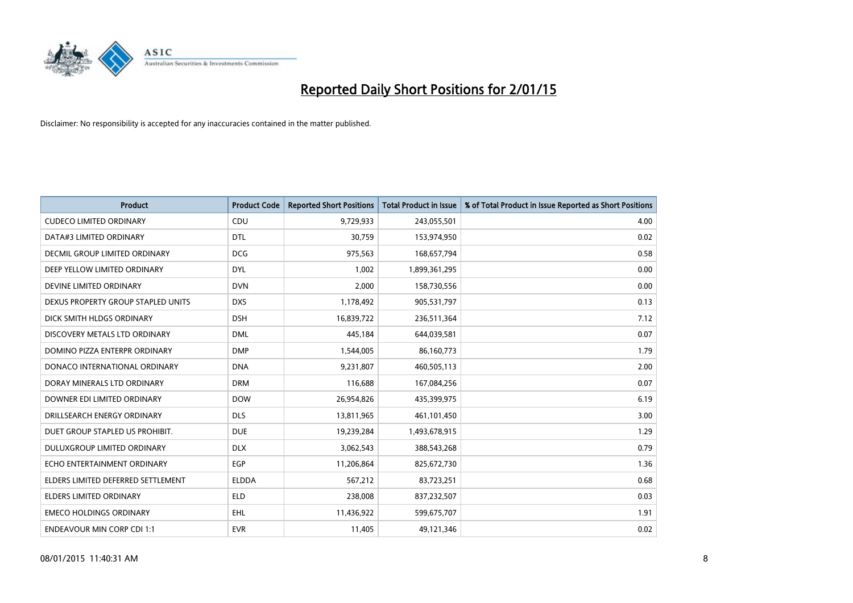

| <b>Product</b>                     | <b>Product Code</b> | <b>Reported Short Positions</b> | <b>Total Product in Issue</b> | % of Total Product in Issue Reported as Short Positions |
|------------------------------------|---------------------|---------------------------------|-------------------------------|---------------------------------------------------------|
| <b>CUDECO LIMITED ORDINARY</b>     | CDU                 | 9,729,933                       | 243,055,501                   | 4.00                                                    |
| DATA#3 LIMITED ORDINARY            | <b>DTL</b>          | 30,759                          | 153,974,950                   | 0.02                                                    |
| DECMIL GROUP LIMITED ORDINARY      | <b>DCG</b>          | 975,563                         | 168,657,794                   | 0.58                                                    |
| DEEP YELLOW LIMITED ORDINARY       | <b>DYL</b>          | 1,002                           | 1,899,361,295                 | 0.00                                                    |
| DEVINE LIMITED ORDINARY            | <b>DVN</b>          | 2,000                           | 158,730,556                   | 0.00                                                    |
| DEXUS PROPERTY GROUP STAPLED UNITS | <b>DXS</b>          | 1,178,492                       | 905,531,797                   | 0.13                                                    |
| DICK SMITH HLDGS ORDINARY          | <b>DSH</b>          | 16,839,722                      | 236,511,364                   | 7.12                                                    |
| DISCOVERY METALS LTD ORDINARY      | <b>DML</b>          | 445,184                         | 644,039,581                   | 0.07                                                    |
| DOMINO PIZZA ENTERPR ORDINARY      | <b>DMP</b>          | 1,544,005                       | 86,160,773                    | 1.79                                                    |
| DONACO INTERNATIONAL ORDINARY      | <b>DNA</b>          | 9,231,807                       | 460,505,113                   | 2.00                                                    |
| DORAY MINERALS LTD ORDINARY        | <b>DRM</b>          | 116,688                         | 167,084,256                   | 0.07                                                    |
| DOWNER EDI LIMITED ORDINARY        | <b>DOW</b>          | 26,954,826                      | 435,399,975                   | 6.19                                                    |
| DRILLSEARCH ENERGY ORDINARY        | <b>DLS</b>          | 13,811,965                      | 461,101,450                   | 3.00                                                    |
| DUET GROUP STAPLED US PROHIBIT.    | <b>DUE</b>          | 19,239,284                      | 1,493,678,915                 | 1.29                                                    |
| DULUXGROUP LIMITED ORDINARY        | <b>DLX</b>          | 3,062,543                       | 388,543,268                   | 0.79                                                    |
| ECHO ENTERTAINMENT ORDINARY        | <b>EGP</b>          | 11,206,864                      | 825,672,730                   | 1.36                                                    |
| ELDERS LIMITED DEFERRED SETTLEMENT | <b>ELDDA</b>        | 567,212                         | 83,723,251                    | 0.68                                                    |
| <b>ELDERS LIMITED ORDINARY</b>     | ELD                 | 238,008                         | 837,232,507                   | 0.03                                                    |
| <b>EMECO HOLDINGS ORDINARY</b>     | EHL                 | 11,436,922                      | 599,675,707                   | 1.91                                                    |
| <b>ENDEAVOUR MIN CORP CDI 1:1</b>  | <b>EVR</b>          | 11,405                          | 49,121,346                    | 0.02                                                    |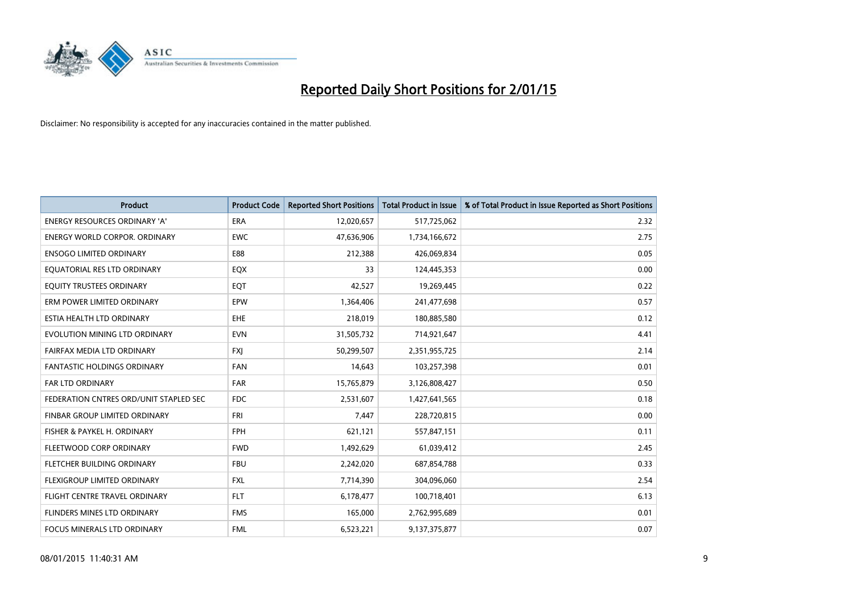

| <b>Product</b>                         | <b>Product Code</b> | <b>Reported Short Positions</b> | <b>Total Product in Issue</b> | % of Total Product in Issue Reported as Short Positions |
|----------------------------------------|---------------------|---------------------------------|-------------------------------|---------------------------------------------------------|
| <b>ENERGY RESOURCES ORDINARY 'A'</b>   | <b>ERA</b>          | 12,020,657                      | 517,725,062                   | 2.32                                                    |
| <b>ENERGY WORLD CORPOR. ORDINARY</b>   | <b>EWC</b>          | 47,636,906                      | 1,734,166,672                 | 2.75                                                    |
| <b>ENSOGO LIMITED ORDINARY</b>         | E88                 | 212,388                         | 426,069,834                   | 0.05                                                    |
| EQUATORIAL RES LTD ORDINARY            | EQX                 | 33                              | 124,445,353                   | 0.00                                                    |
| EQUITY TRUSTEES ORDINARY               | EQT                 | 42,527                          | 19,269,445                    | 0.22                                                    |
| ERM POWER LIMITED ORDINARY             | EPW                 | 1,364,406                       | 241,477,698                   | 0.57                                                    |
| ESTIA HEALTH LTD ORDINARY              | EHE                 | 218,019                         | 180,885,580                   | 0.12                                                    |
| EVOLUTION MINING LTD ORDINARY          | <b>EVN</b>          | 31,505,732                      | 714,921,647                   | 4.41                                                    |
| FAIRFAX MEDIA LTD ORDINARY             | <b>FXI</b>          | 50,299,507                      | 2,351,955,725                 | 2.14                                                    |
| <b>FANTASTIC HOLDINGS ORDINARY</b>     | <b>FAN</b>          | 14,643                          | 103,257,398                   | 0.01                                                    |
| <b>FAR LTD ORDINARY</b>                | FAR                 | 15,765,879                      | 3,126,808,427                 | 0.50                                                    |
| FEDERATION CNTRES ORD/UNIT STAPLED SEC | <b>FDC</b>          | 2,531,607                       | 1,427,641,565                 | 0.18                                                    |
| FINBAR GROUP LIMITED ORDINARY          | <b>FRI</b>          | 7,447                           | 228,720,815                   | 0.00                                                    |
| FISHER & PAYKEL H. ORDINARY            | <b>FPH</b>          | 621,121                         | 557,847,151                   | 0.11                                                    |
| FLEETWOOD CORP ORDINARY                | <b>FWD</b>          | 1,492,629                       | 61,039,412                    | 2.45                                                    |
| FLETCHER BUILDING ORDINARY             | <b>FBU</b>          | 2,242,020                       | 687,854,788                   | 0.33                                                    |
| FLEXIGROUP LIMITED ORDINARY            | FXL                 | 7,714,390                       | 304,096,060                   | 2.54                                                    |
| FLIGHT CENTRE TRAVEL ORDINARY          | <b>FLT</b>          | 6,178,477                       | 100,718,401                   | 6.13                                                    |
| FLINDERS MINES LTD ORDINARY            | <b>FMS</b>          | 165,000                         | 2,762,995,689                 | 0.01                                                    |
| FOCUS MINERALS LTD ORDINARY            | <b>FML</b>          | 6,523,221                       | 9,137,375,877                 | 0.07                                                    |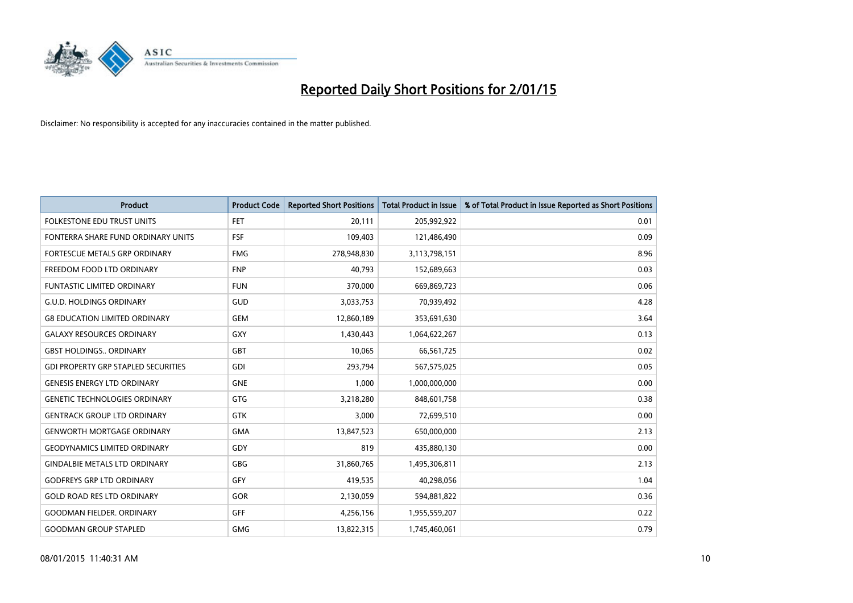

| <b>Product</b>                             | <b>Product Code</b> | <b>Reported Short Positions</b> | <b>Total Product in Issue</b> | % of Total Product in Issue Reported as Short Positions |
|--------------------------------------------|---------------------|---------------------------------|-------------------------------|---------------------------------------------------------|
| <b>FOLKESTONE EDU TRUST UNITS</b>          | <b>FET</b>          | 20,111                          | 205,992,922                   | 0.01                                                    |
| FONTERRA SHARE FUND ORDINARY UNITS         | <b>FSF</b>          | 109,403                         | 121,486,490                   | 0.09                                                    |
| <b>FORTESCUE METALS GRP ORDINARY</b>       | <b>FMG</b>          | 278,948,830                     | 3,113,798,151                 | 8.96                                                    |
| FREEDOM FOOD LTD ORDINARY                  | <b>FNP</b>          | 40.793                          | 152,689,663                   | 0.03                                                    |
| <b>FUNTASTIC LIMITED ORDINARY</b>          | <b>FUN</b>          | 370,000                         | 669,869,723                   | 0.06                                                    |
| <b>G.U.D. HOLDINGS ORDINARY</b>            | <b>GUD</b>          | 3,033,753                       | 70,939,492                    | 4.28                                                    |
| <b>G8 EDUCATION LIMITED ORDINARY</b>       | <b>GEM</b>          | 12,860,189                      | 353,691,630                   | 3.64                                                    |
| <b>GALAXY RESOURCES ORDINARY</b>           | GXY                 | 1,430,443                       | 1,064,622,267                 | 0.13                                                    |
| <b>GBST HOLDINGS., ORDINARY</b>            | GBT                 | 10,065                          | 66,561,725                    | 0.02                                                    |
| <b>GDI PROPERTY GRP STAPLED SECURITIES</b> | GDI                 | 293,794                         | 567,575,025                   | 0.05                                                    |
| <b>GENESIS ENERGY LTD ORDINARY</b>         | <b>GNE</b>          | 1,000                           | 1,000,000,000                 | 0.00                                                    |
| <b>GENETIC TECHNOLOGIES ORDINARY</b>       | GTG                 | 3,218,280                       | 848,601,758                   | 0.38                                                    |
| <b>GENTRACK GROUP LTD ORDINARY</b>         | <b>GTK</b>          | 3,000                           | 72,699,510                    | 0.00                                                    |
| <b>GENWORTH MORTGAGE ORDINARY</b>          | <b>GMA</b>          | 13,847,523                      | 650,000,000                   | 2.13                                                    |
| <b>GEODYNAMICS LIMITED ORDINARY</b>        | GDY                 | 819                             | 435,880,130                   | 0.00                                                    |
| <b>GINDALBIE METALS LTD ORDINARY</b>       | GBG                 | 31,860,765                      | 1,495,306,811                 | 2.13                                                    |
| <b>GODFREYS GRP LTD ORDINARY</b>           | GFY                 | 419,535                         | 40,298,056                    | 1.04                                                    |
| <b>GOLD ROAD RES LTD ORDINARY</b>          | GOR                 | 2,130,059                       | 594,881,822                   | 0.36                                                    |
| <b>GOODMAN FIELDER, ORDINARY</b>           | GFF                 | 4,256,156                       | 1,955,559,207                 | 0.22                                                    |
| <b>GOODMAN GROUP STAPLED</b>               | <b>GMG</b>          | 13,822,315                      | 1,745,460,061                 | 0.79                                                    |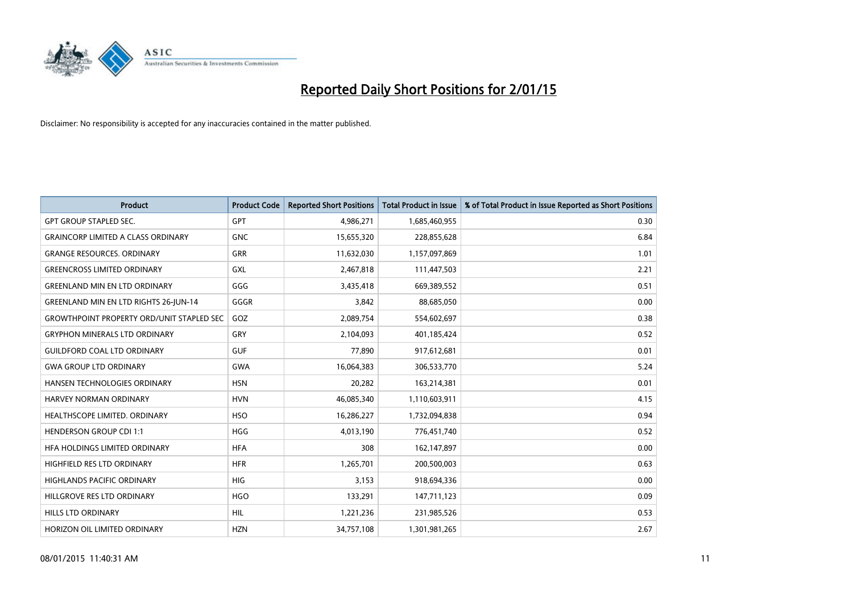

| <b>Product</b>                                   | <b>Product Code</b> | <b>Reported Short Positions</b> | <b>Total Product in Issue</b> | % of Total Product in Issue Reported as Short Positions |
|--------------------------------------------------|---------------------|---------------------------------|-------------------------------|---------------------------------------------------------|
| <b>GPT GROUP STAPLED SEC.</b>                    | <b>GPT</b>          | 4,986,271                       | 1,685,460,955                 | 0.30                                                    |
| <b>GRAINCORP LIMITED A CLASS ORDINARY</b>        | <b>GNC</b>          | 15,655,320                      | 228,855,628                   | 6.84                                                    |
| <b>GRANGE RESOURCES, ORDINARY</b>                | <b>GRR</b>          | 11,632,030                      | 1,157,097,869                 | 1.01                                                    |
| <b>GREENCROSS LIMITED ORDINARY</b>               | GXL                 | 2,467,818                       | 111,447,503                   | 2.21                                                    |
| <b>GREENLAND MIN EN LTD ORDINARY</b>             | GGG                 | 3,435,418                       | 669,389,552                   | 0.51                                                    |
| <b>GREENLAND MIN EN LTD RIGHTS 26-JUN-14</b>     | GGGR                | 3,842                           | 88,685,050                    | 0.00                                                    |
| <b>GROWTHPOINT PROPERTY ORD/UNIT STAPLED SEC</b> | GOZ                 | 2,089,754                       | 554,602,697                   | 0.38                                                    |
| <b>GRYPHON MINERALS LTD ORDINARY</b>             | GRY                 | 2,104,093                       | 401,185,424                   | 0.52                                                    |
| <b>GUILDFORD COAL LTD ORDINARY</b>               | <b>GUF</b>          | 77,890                          | 917,612,681                   | 0.01                                                    |
| <b>GWA GROUP LTD ORDINARY</b>                    | <b>GWA</b>          | 16,064,383                      | 306,533,770                   | 5.24                                                    |
| HANSEN TECHNOLOGIES ORDINARY                     | <b>HSN</b>          | 20,282                          | 163,214,381                   | 0.01                                                    |
| HARVEY NORMAN ORDINARY                           | <b>HVN</b>          | 46,085,340                      | 1,110,603,911                 | 4.15                                                    |
| HEALTHSCOPE LIMITED. ORDINARY                    | <b>HSO</b>          | 16,286,227                      | 1,732,094,838                 | 0.94                                                    |
| <b>HENDERSON GROUP CDI 1:1</b>                   | <b>HGG</b>          | 4,013,190                       | 776,451,740                   | 0.52                                                    |
| HFA HOLDINGS LIMITED ORDINARY                    | <b>HFA</b>          | 308                             | 162,147,897                   | 0.00                                                    |
| HIGHFIELD RES LTD ORDINARY                       | <b>HFR</b>          | 1,265,701                       | 200,500,003                   | 0.63                                                    |
| HIGHLANDS PACIFIC ORDINARY                       | HIG                 | 3,153                           | 918,694,336                   | 0.00                                                    |
| HILLGROVE RES LTD ORDINARY                       | <b>HGO</b>          | 133,291                         | 147,711,123                   | 0.09                                                    |
| HILLS LTD ORDINARY                               | <b>HIL</b>          | 1,221,236                       | 231,985,526                   | 0.53                                                    |
| HORIZON OIL LIMITED ORDINARY                     | <b>HZN</b>          | 34,757,108                      | 1,301,981,265                 | 2.67                                                    |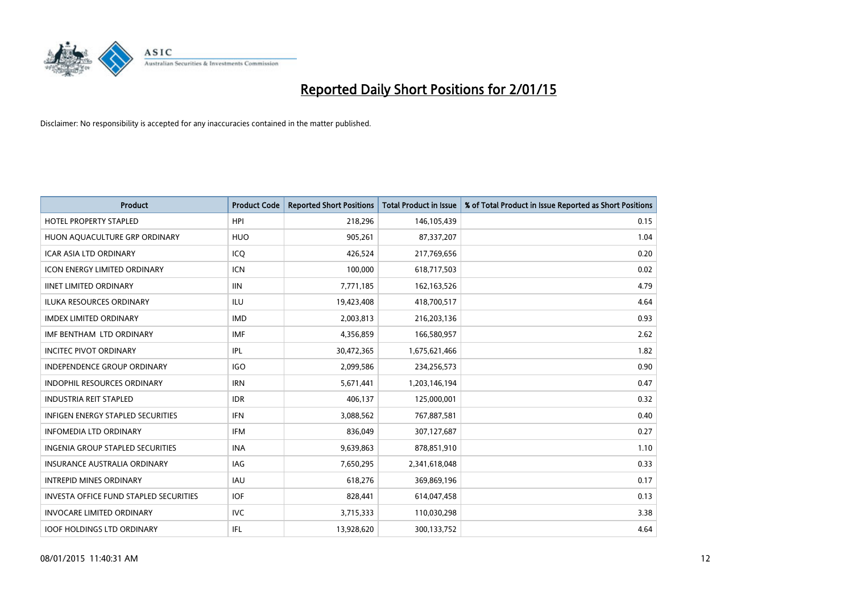

| <b>Product</b>                                | <b>Product Code</b> | <b>Reported Short Positions</b> | <b>Total Product in Issue</b> | % of Total Product in Issue Reported as Short Positions |
|-----------------------------------------------|---------------------|---------------------------------|-------------------------------|---------------------------------------------------------|
| <b>HOTEL PROPERTY STAPLED</b>                 | <b>HPI</b>          | 218,296                         | 146,105,439                   | 0.15                                                    |
| HUON AQUACULTURE GRP ORDINARY                 | <b>HUO</b>          | 905,261                         | 87,337,207                    | 1.04                                                    |
| <b>ICAR ASIA LTD ORDINARY</b>                 | ICQ                 | 426,524                         | 217,769,656                   | 0.20                                                    |
| <b>ICON ENERGY LIMITED ORDINARY</b>           | <b>ICN</b>          | 100,000                         | 618,717,503                   | 0.02                                                    |
| <b>IINET LIMITED ORDINARY</b>                 | <b>IIN</b>          | 7,771,185                       | 162, 163, 526                 | 4.79                                                    |
| <b>ILUKA RESOURCES ORDINARY</b>               | <b>ILU</b>          | 19,423,408                      | 418,700,517                   | 4.64                                                    |
| <b>IMDEX LIMITED ORDINARY</b>                 | <b>IMD</b>          | 2,003,813                       | 216,203,136                   | 0.93                                                    |
| IMF BENTHAM LTD ORDINARY                      | <b>IMF</b>          | 4,356,859                       | 166,580,957                   | 2.62                                                    |
| <b>INCITEC PIVOT ORDINARY</b>                 | <b>IPL</b>          | 30,472,365                      | 1,675,621,466                 | 1.82                                                    |
| <b>INDEPENDENCE GROUP ORDINARY</b>            | <b>IGO</b>          | 2,099,586                       | 234,256,573                   | 0.90                                                    |
| INDOPHIL RESOURCES ORDINARY                   | <b>IRN</b>          | 5,671,441                       | 1,203,146,194                 | 0.47                                                    |
| <b>INDUSTRIA REIT STAPLED</b>                 | <b>IDR</b>          | 406,137                         | 125,000,001                   | 0.32                                                    |
| INFIGEN ENERGY STAPLED SECURITIES             | <b>IFN</b>          | 3,088,562                       | 767,887,581                   | 0.40                                                    |
| <b>INFOMEDIA LTD ORDINARY</b>                 | <b>IFM</b>          | 836,049                         | 307,127,687                   | 0.27                                                    |
| INGENIA GROUP STAPLED SECURITIES              | <b>INA</b>          | 9,639,863                       | 878,851,910                   | 1.10                                                    |
| INSURANCE AUSTRALIA ORDINARY                  | IAG                 | 7,650,295                       | 2,341,618,048                 | 0.33                                                    |
| <b>INTREPID MINES ORDINARY</b>                | <b>IAU</b>          | 618,276                         | 369,869,196                   | 0.17                                                    |
| <b>INVESTA OFFICE FUND STAPLED SECURITIES</b> | <b>IOF</b>          | 828,441                         | 614,047,458                   | 0.13                                                    |
| <b>INVOCARE LIMITED ORDINARY</b>              | IVC                 | 3,715,333                       | 110,030,298                   | 3.38                                                    |
| <b>IOOF HOLDINGS LTD ORDINARY</b>             | IFL                 | 13,928,620                      | 300,133,752                   | 4.64                                                    |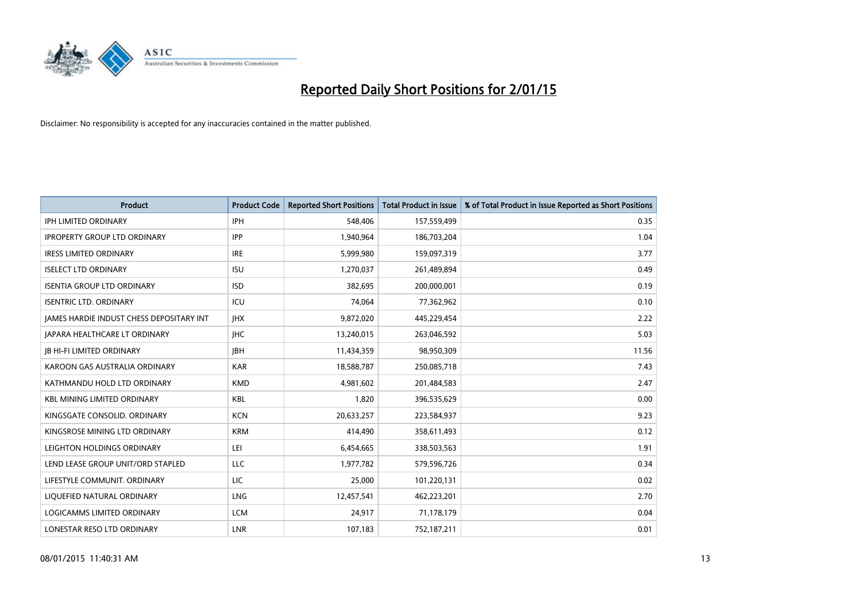

| <b>Product</b>                                  | <b>Product Code</b> | <b>Reported Short Positions</b> | <b>Total Product in Issue</b> | % of Total Product in Issue Reported as Short Positions |
|-------------------------------------------------|---------------------|---------------------------------|-------------------------------|---------------------------------------------------------|
| <b>IPH LIMITED ORDINARY</b>                     | <b>IPH</b>          | 548,406                         | 157,559,499                   | 0.35                                                    |
| <b>IPROPERTY GROUP LTD ORDINARY</b>             | <b>IPP</b>          | 1,940,964                       | 186,703,204                   | 1.04                                                    |
| <b>IRESS LIMITED ORDINARY</b>                   | <b>IRE</b>          | 5,999,980                       | 159,097,319                   | 3.77                                                    |
| <b>ISELECT LTD ORDINARY</b>                     | <b>ISU</b>          | 1,270,037                       | 261,489,894                   | 0.49                                                    |
| <b>ISENTIA GROUP LTD ORDINARY</b>               | <b>ISD</b>          | 382,695                         | 200,000,001                   | 0.19                                                    |
| <b>ISENTRIC LTD. ORDINARY</b>                   | ICU                 | 74,064                          | 77,362,962                    | 0.10                                                    |
| <b>JAMES HARDIE INDUST CHESS DEPOSITARY INT</b> | <b>IHX</b>          | 9,872,020                       | 445,229,454                   | 2.22                                                    |
| <b>JAPARA HEALTHCARE LT ORDINARY</b>            | <b>IHC</b>          | 13,240,015                      | 263,046,592                   | 5.03                                                    |
| <b>JB HI-FI LIMITED ORDINARY</b>                | <b>IBH</b>          | 11,434,359                      | 98,950,309                    | 11.56                                                   |
| KAROON GAS AUSTRALIA ORDINARY                   | <b>KAR</b>          | 18,588,787                      | 250,085,718                   | 7.43                                                    |
| KATHMANDU HOLD LTD ORDINARY                     | <b>KMD</b>          | 4,981,602                       | 201,484,583                   | 2.47                                                    |
| <b>KBL MINING LIMITED ORDINARY</b>              | <b>KBL</b>          | 1,820                           | 396,535,629                   | 0.00                                                    |
| KINGSGATE CONSOLID. ORDINARY                    | <b>KCN</b>          | 20,633,257                      | 223,584,937                   | 9.23                                                    |
| KINGSROSE MINING LTD ORDINARY                   | <b>KRM</b>          | 414,490                         | 358,611,493                   | 0.12                                                    |
| LEIGHTON HOLDINGS ORDINARY                      | LEI                 | 6,454,665                       | 338,503,563                   | 1.91                                                    |
| LEND LEASE GROUP UNIT/ORD STAPLED               | LLC                 | 1,977,782                       | 579,596,726                   | 0.34                                                    |
| LIFESTYLE COMMUNIT. ORDINARY                    | LIC                 | 25,000                          | 101,220,131                   | 0.02                                                    |
| LIQUEFIED NATURAL ORDINARY                      | <b>LNG</b>          | 12,457,541                      | 462,223,201                   | 2.70                                                    |
| LOGICAMMS LIMITED ORDINARY                      | <b>LCM</b>          | 24,917                          | 71,178,179                    | 0.04                                                    |
| LONESTAR RESO LTD ORDINARY                      | <b>LNR</b>          | 107,183                         | 752,187,211                   | 0.01                                                    |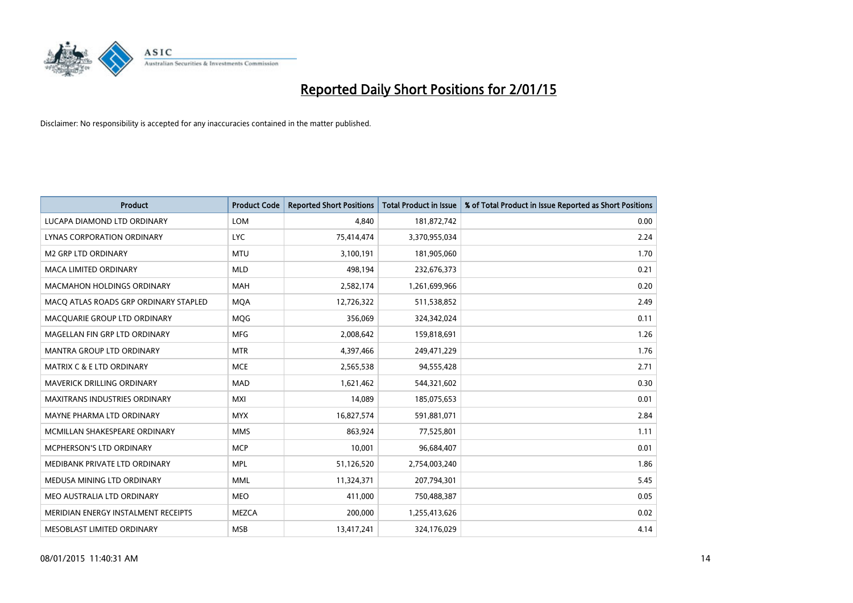

| <b>Product</b>                        | <b>Product Code</b> | <b>Reported Short Positions</b> | <b>Total Product in Issue</b> | % of Total Product in Issue Reported as Short Positions |
|---------------------------------------|---------------------|---------------------------------|-------------------------------|---------------------------------------------------------|
| LUCAPA DIAMOND LTD ORDINARY           | <b>LOM</b>          | 4.840                           | 181,872,742                   | 0.00                                                    |
| LYNAS CORPORATION ORDINARY            | <b>LYC</b>          | 75,414,474                      | 3,370,955,034                 | 2.24                                                    |
| <b>M2 GRP LTD ORDINARY</b>            | <b>MTU</b>          | 3,100,191                       | 181,905,060                   | 1.70                                                    |
| MACA LIMITED ORDINARY                 | <b>MLD</b>          | 498,194                         | 232,676,373                   | 0.21                                                    |
| <b>MACMAHON HOLDINGS ORDINARY</b>     | <b>MAH</b>          | 2,582,174                       | 1,261,699,966                 | 0.20                                                    |
| MACO ATLAS ROADS GRP ORDINARY STAPLED | <b>MOA</b>          | 12,726,322                      | 511,538,852                   | 2.49                                                    |
| MACQUARIE GROUP LTD ORDINARY          | <b>MOG</b>          | 356,069                         | 324,342,024                   | 0.11                                                    |
| MAGELLAN FIN GRP LTD ORDINARY         | <b>MFG</b>          | 2,008,642                       | 159,818,691                   | 1.26                                                    |
| <b>MANTRA GROUP LTD ORDINARY</b>      | <b>MTR</b>          | 4,397,466                       | 249,471,229                   | 1.76                                                    |
| <b>MATRIX C &amp; E LTD ORDINARY</b>  | <b>MCE</b>          | 2,565,538                       | 94,555,428                    | 2.71                                                    |
| MAVERICK DRILLING ORDINARY            | <b>MAD</b>          | 1,621,462                       | 544,321,602                   | 0.30                                                    |
| <b>MAXITRANS INDUSTRIES ORDINARY</b>  | <b>MXI</b>          | 14,089                          | 185,075,653                   | 0.01                                                    |
| MAYNE PHARMA LTD ORDINARY             | <b>MYX</b>          | 16,827,574                      | 591,881,071                   | 2.84                                                    |
| MCMILLAN SHAKESPEARE ORDINARY         | <b>MMS</b>          | 863,924                         | 77,525,801                    | 1.11                                                    |
| <b>MCPHERSON'S LTD ORDINARY</b>       | <b>MCP</b>          | 10,001                          | 96,684,407                    | 0.01                                                    |
| MEDIBANK PRIVATE LTD ORDINARY         | <b>MPL</b>          | 51,126,520                      | 2,754,003,240                 | 1.86                                                    |
| MEDUSA MINING LTD ORDINARY            | <b>MML</b>          | 11,324,371                      | 207,794,301                   | 5.45                                                    |
| MEO AUSTRALIA LTD ORDINARY            | <b>MEO</b>          | 411,000                         | 750,488,387                   | 0.05                                                    |
| MERIDIAN ENERGY INSTALMENT RECEIPTS   | <b>MEZCA</b>        | 200,000                         | 1,255,413,626                 | 0.02                                                    |
| MESOBLAST LIMITED ORDINARY            | <b>MSB</b>          | 13,417,241                      | 324,176,029                   | 4.14                                                    |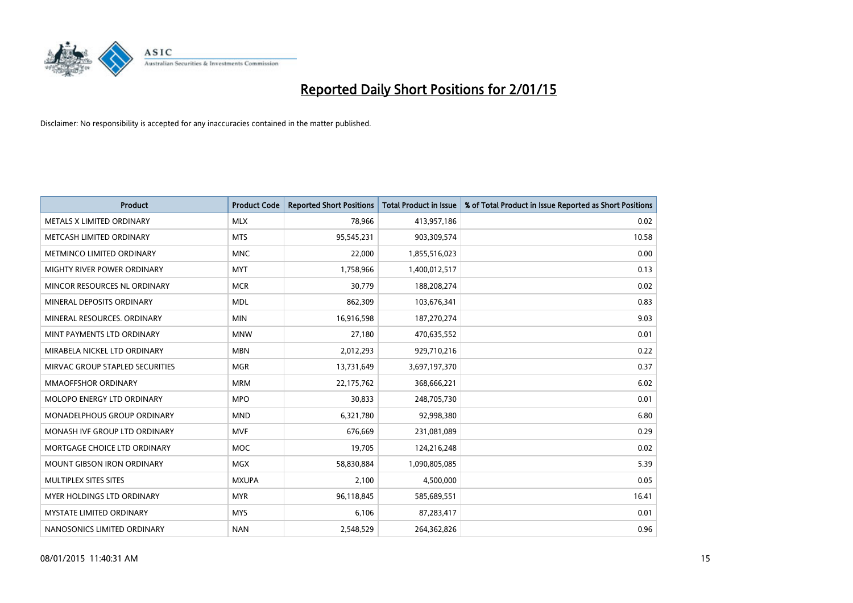

| <b>Product</b>                    | <b>Product Code</b> | <b>Reported Short Positions</b> | <b>Total Product in Issue</b> | % of Total Product in Issue Reported as Short Positions |
|-----------------------------------|---------------------|---------------------------------|-------------------------------|---------------------------------------------------------|
| METALS X LIMITED ORDINARY         | <b>MLX</b>          | 78,966                          | 413,957,186                   | 0.02                                                    |
| METCASH LIMITED ORDINARY          | <b>MTS</b>          | 95,545,231                      | 903,309,574                   | 10.58                                                   |
| METMINCO LIMITED ORDINARY         | <b>MNC</b>          | 22,000                          | 1,855,516,023                 | 0.00                                                    |
| MIGHTY RIVER POWER ORDINARY       | <b>MYT</b>          | 1,758,966                       | 1,400,012,517                 | 0.13                                                    |
| MINCOR RESOURCES NL ORDINARY      | <b>MCR</b>          | 30,779                          | 188,208,274                   | 0.02                                                    |
| MINERAL DEPOSITS ORDINARY         | <b>MDL</b>          | 862,309                         | 103,676,341                   | 0.83                                                    |
| MINERAL RESOURCES, ORDINARY       | <b>MIN</b>          | 16,916,598                      | 187,270,274                   | 9.03                                                    |
| MINT PAYMENTS LTD ORDINARY        | <b>MNW</b>          | 27,180                          | 470,635,552                   | 0.01                                                    |
| MIRABELA NICKEL LTD ORDINARY      | <b>MBN</b>          | 2,012,293                       | 929,710,216                   | 0.22                                                    |
| MIRVAC GROUP STAPLED SECURITIES   | <b>MGR</b>          | 13,731,649                      | 3,697,197,370                 | 0.37                                                    |
| <b>MMAOFFSHOR ORDINARY</b>        | <b>MRM</b>          | 22,175,762                      | 368,666,221                   | 6.02                                                    |
| MOLOPO ENERGY LTD ORDINARY        | <b>MPO</b>          | 30,833                          | 248,705,730                   | 0.01                                                    |
| MONADELPHOUS GROUP ORDINARY       | <b>MND</b>          | 6,321,780                       | 92,998,380                    | 6.80                                                    |
| MONASH IVF GROUP LTD ORDINARY     | <b>MVF</b>          | 676,669                         | 231,081,089                   | 0.29                                                    |
| MORTGAGE CHOICE LTD ORDINARY      | <b>MOC</b>          | 19,705                          | 124,216,248                   | 0.02                                                    |
| <b>MOUNT GIBSON IRON ORDINARY</b> | <b>MGX</b>          | 58,830,884                      | 1,090,805,085                 | 5.39                                                    |
| MULTIPLEX SITES SITES             | <b>MXUPA</b>        | 2,100                           | 4,500,000                     | 0.05                                                    |
| MYER HOLDINGS LTD ORDINARY        | <b>MYR</b>          | 96,118,845                      | 585,689,551                   | 16.41                                                   |
| <b>MYSTATE LIMITED ORDINARY</b>   | <b>MYS</b>          | 6,106                           | 87,283,417                    | 0.01                                                    |
| NANOSONICS LIMITED ORDINARY       | <b>NAN</b>          | 2,548,529                       | 264,362,826                   | 0.96                                                    |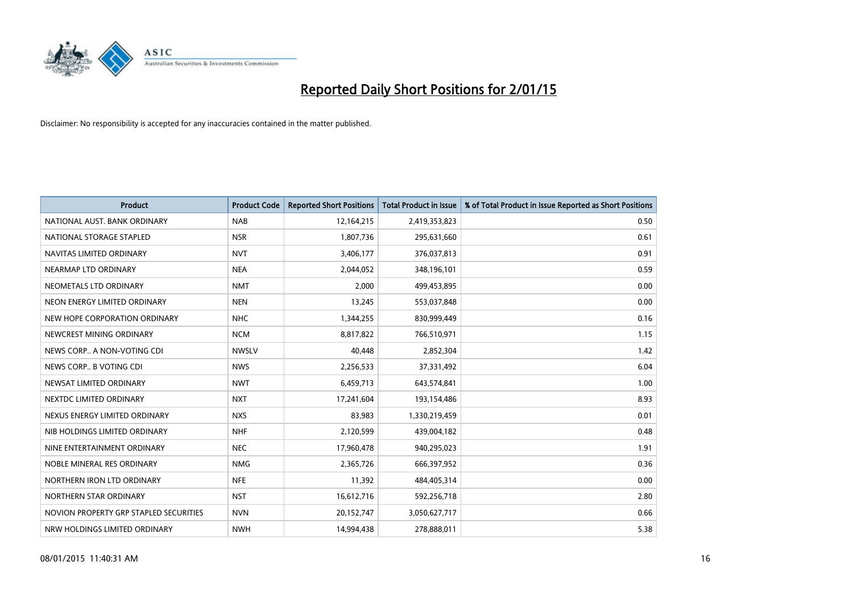![](_page_15_Picture_0.jpeg)

| Product                                | <b>Product Code</b> | <b>Reported Short Positions</b> | <b>Total Product in Issue</b> | % of Total Product in Issue Reported as Short Positions |
|----------------------------------------|---------------------|---------------------------------|-------------------------------|---------------------------------------------------------|
| NATIONAL AUST. BANK ORDINARY           | <b>NAB</b>          | 12,164,215                      | 2,419,353,823                 | 0.50                                                    |
| NATIONAL STORAGE STAPLED               | <b>NSR</b>          | 1,807,736                       | 295,631,660                   | 0.61                                                    |
| NAVITAS LIMITED ORDINARY               | <b>NVT</b>          | 3,406,177                       | 376,037,813                   | 0.91                                                    |
| NEARMAP LTD ORDINARY                   | <b>NEA</b>          | 2,044,052                       | 348,196,101                   | 0.59                                                    |
| NEOMETALS LTD ORDINARY                 | <b>NMT</b>          | 2,000                           | 499,453,895                   | 0.00                                                    |
| NEON ENERGY LIMITED ORDINARY           | <b>NEN</b>          | 13,245                          | 553,037,848                   | 0.00                                                    |
| NEW HOPE CORPORATION ORDINARY          | <b>NHC</b>          | 1,344,255                       | 830,999,449                   | 0.16                                                    |
| NEWCREST MINING ORDINARY               | <b>NCM</b>          | 8,817,822                       | 766,510,971                   | 1.15                                                    |
| NEWS CORP A NON-VOTING CDI             | <b>NWSLV</b>        | 40,448                          | 2,852,304                     | 1.42                                                    |
| NEWS CORP B VOTING CDI                 | <b>NWS</b>          | 2,256,533                       | 37,331,492                    | 6.04                                                    |
| NEWSAT LIMITED ORDINARY                | <b>NWT</b>          | 6,459,713                       | 643,574,841                   | 1.00                                                    |
| NEXTDC LIMITED ORDINARY                | <b>NXT</b>          | 17,241,604                      | 193,154,486                   | 8.93                                                    |
| NEXUS ENERGY LIMITED ORDINARY          | <b>NXS</b>          | 83,983                          | 1,330,219,459                 | 0.01                                                    |
| NIB HOLDINGS LIMITED ORDINARY          | <b>NHF</b>          | 2,120,599                       | 439,004,182                   | 0.48                                                    |
| NINE ENTERTAINMENT ORDINARY            | <b>NEC</b>          | 17,960,478                      | 940,295,023                   | 1.91                                                    |
| NOBLE MINERAL RES ORDINARY             | <b>NMG</b>          | 2,365,726                       | 666,397,952                   | 0.36                                                    |
| NORTHERN IRON LTD ORDINARY             | <b>NFE</b>          | 11,392                          | 484,405,314                   | 0.00                                                    |
| NORTHERN STAR ORDINARY                 | <b>NST</b>          | 16,612,716                      | 592,256,718                   | 2.80                                                    |
| NOVION PROPERTY GRP STAPLED SECURITIES | <b>NVN</b>          | 20,152,747                      | 3,050,627,717                 | 0.66                                                    |
| NRW HOLDINGS LIMITED ORDINARY          | <b>NWH</b>          | 14,994,438                      | 278,888,011                   | 5.38                                                    |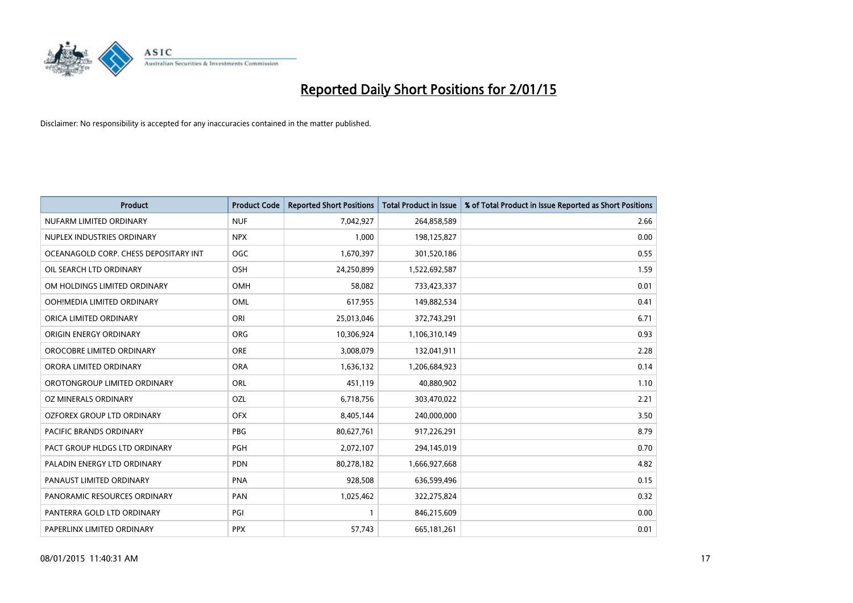![](_page_16_Picture_0.jpeg)

| <b>Product</b>                        | <b>Product Code</b> | <b>Reported Short Positions</b> | <b>Total Product in Issue</b> | % of Total Product in Issue Reported as Short Positions |
|---------------------------------------|---------------------|---------------------------------|-------------------------------|---------------------------------------------------------|
| NUFARM LIMITED ORDINARY               | <b>NUF</b>          | 7,042,927                       | 264,858,589                   | 2.66                                                    |
| NUPLEX INDUSTRIES ORDINARY            | <b>NPX</b>          | 1,000                           | 198,125,827                   | 0.00                                                    |
| OCEANAGOLD CORP. CHESS DEPOSITARY INT | <b>OGC</b>          | 1,670,397                       | 301,520,186                   | 0.55                                                    |
| OIL SEARCH LTD ORDINARY               | OSH                 | 24,250,899                      | 1,522,692,587                 | 1.59                                                    |
| OM HOLDINGS LIMITED ORDINARY          | <b>OMH</b>          | 58,082                          | 733,423,337                   | 0.01                                                    |
| OOH!MEDIA LIMITED ORDINARY            | <b>OML</b>          | 617,955                         | 149,882,534                   | 0.41                                                    |
| ORICA LIMITED ORDINARY                | ORI                 | 25,013,046                      | 372,743,291                   | 6.71                                                    |
| ORIGIN ENERGY ORDINARY                | ORG                 | 10,306,924                      | 1,106,310,149                 | 0.93                                                    |
| OROCOBRE LIMITED ORDINARY             | <b>ORE</b>          | 3,008,079                       | 132,041,911                   | 2.28                                                    |
| ORORA LIMITED ORDINARY                | <b>ORA</b>          | 1,636,132                       | 1,206,684,923                 | 0.14                                                    |
| OROTONGROUP LIMITED ORDINARY          | ORL                 | 451,119                         | 40,880,902                    | 1.10                                                    |
| OZ MINERALS ORDINARY                  | OZL                 | 6,718,756                       | 303,470,022                   | 2.21                                                    |
| OZFOREX GROUP LTD ORDINARY            | <b>OFX</b>          | 8,405,144                       | 240,000,000                   | 3.50                                                    |
| <b>PACIFIC BRANDS ORDINARY</b>        | <b>PBG</b>          | 80,627,761                      | 917,226,291                   | 8.79                                                    |
| PACT GROUP HLDGS LTD ORDINARY         | PGH                 | 2,072,107                       | 294,145,019                   | 0.70                                                    |
| PALADIN ENERGY LTD ORDINARY           | <b>PDN</b>          | 80,278,182                      | 1,666,927,668                 | 4.82                                                    |
| PANAUST LIMITED ORDINARY              | <b>PNA</b>          | 928,508                         | 636,599,496                   | 0.15                                                    |
| PANORAMIC RESOURCES ORDINARY          | PAN                 | 1,025,462                       | 322,275,824                   | 0.32                                                    |
| PANTERRA GOLD LTD ORDINARY            | PGI                 | $\mathbf{1}$                    | 846,215,609                   | 0.00                                                    |
| PAPERLINX LIMITED ORDINARY            | <b>PPX</b>          | 57,743                          | 665, 181, 261                 | 0.01                                                    |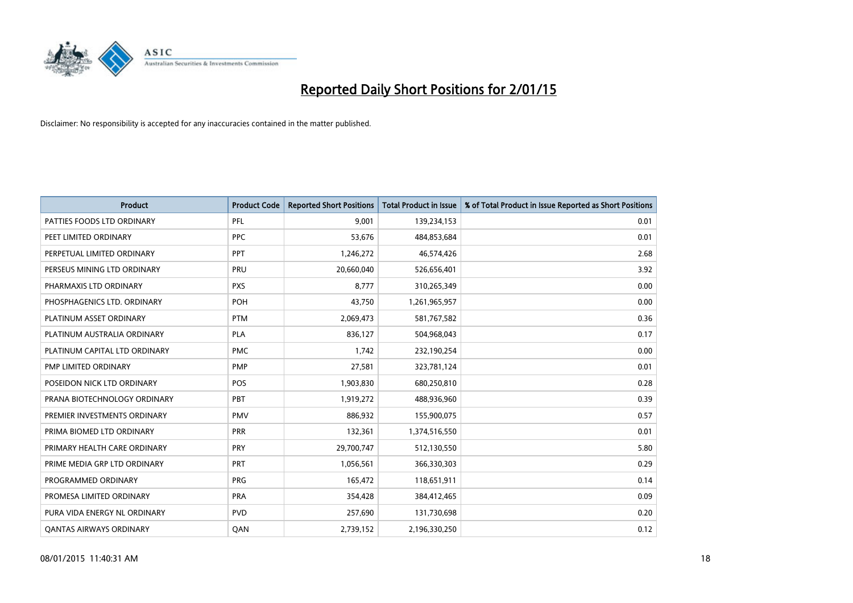![](_page_17_Picture_0.jpeg)

| <b>Product</b>                 | <b>Product Code</b> | <b>Reported Short Positions</b> | <b>Total Product in Issue</b> | % of Total Product in Issue Reported as Short Positions |
|--------------------------------|---------------------|---------------------------------|-------------------------------|---------------------------------------------------------|
| PATTIES FOODS LTD ORDINARY     | PFL                 | 9,001                           | 139,234,153                   | 0.01                                                    |
| PEET LIMITED ORDINARY          | <b>PPC</b>          | 53,676                          | 484,853,684                   | 0.01                                                    |
| PERPETUAL LIMITED ORDINARY     | PPT                 | 1,246,272                       | 46,574,426                    | 2.68                                                    |
| PERSEUS MINING LTD ORDINARY    | PRU                 | 20,660,040                      | 526,656,401                   | 3.92                                                    |
| PHARMAXIS LTD ORDINARY         | <b>PXS</b>          | 8,777                           | 310,265,349                   | 0.00                                                    |
| PHOSPHAGENICS LTD. ORDINARY    | POH                 | 43,750                          | 1,261,965,957                 | 0.00                                                    |
| PLATINUM ASSET ORDINARY        | <b>PTM</b>          | 2,069,473                       | 581,767,582                   | 0.36                                                    |
| PLATINUM AUSTRALIA ORDINARY    | PLA                 | 836,127                         | 504,968,043                   | 0.17                                                    |
| PLATINUM CAPITAL LTD ORDINARY  | <b>PMC</b>          | 1,742                           | 232,190,254                   | 0.00                                                    |
| PMP LIMITED ORDINARY           | <b>PMP</b>          | 27,581                          | 323,781,124                   | 0.01                                                    |
| POSEIDON NICK LTD ORDINARY     | <b>POS</b>          | 1,903,830                       | 680,250,810                   | 0.28                                                    |
| PRANA BIOTECHNOLOGY ORDINARY   | PBT                 | 1,919,272                       | 488,936,960                   | 0.39                                                    |
| PREMIER INVESTMENTS ORDINARY   | <b>PMV</b>          | 886,932                         | 155,900,075                   | 0.57                                                    |
| PRIMA BIOMED LTD ORDINARY      | <b>PRR</b>          | 132,361                         | 1,374,516,550                 | 0.01                                                    |
| PRIMARY HEALTH CARE ORDINARY   | <b>PRY</b>          | 29,700,747                      | 512,130,550                   | 5.80                                                    |
| PRIME MEDIA GRP LTD ORDINARY   | PRT                 | 1,056,561                       | 366,330,303                   | 0.29                                                    |
| PROGRAMMED ORDINARY            | <b>PRG</b>          | 165,472                         | 118,651,911                   | 0.14                                                    |
| PROMESA LIMITED ORDINARY       | <b>PRA</b>          | 354,428                         | 384,412,465                   | 0.09                                                    |
| PURA VIDA ENERGY NL ORDINARY   | <b>PVD</b>          | 257,690                         | 131,730,698                   | 0.20                                                    |
| <b>QANTAS AIRWAYS ORDINARY</b> | QAN                 | 2,739,152                       | 2,196,330,250                 | 0.12                                                    |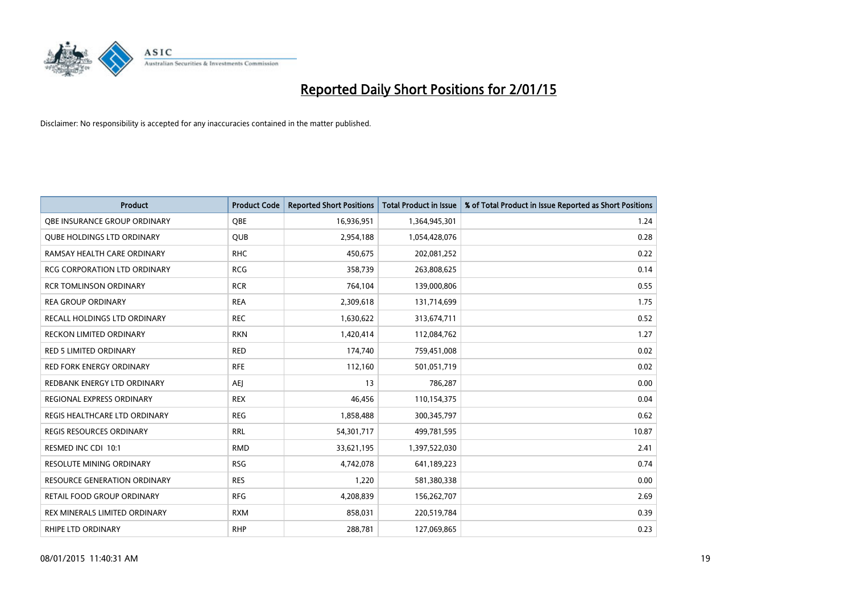![](_page_18_Picture_0.jpeg)

| <b>Product</b>                      | <b>Product Code</b> | <b>Reported Short Positions</b> | <b>Total Product in Issue</b> | % of Total Product in Issue Reported as Short Positions |
|-------------------------------------|---------------------|---------------------------------|-------------------------------|---------------------------------------------------------|
| OBE INSURANCE GROUP ORDINARY        | <b>OBE</b>          | 16,936,951                      | 1,364,945,301                 | 1.24                                                    |
| <b>QUBE HOLDINGS LTD ORDINARY</b>   | <b>QUB</b>          | 2,954,188                       | 1,054,428,076                 | 0.28                                                    |
| RAMSAY HEALTH CARE ORDINARY         | <b>RHC</b>          | 450,675                         | 202,081,252                   | 0.22                                                    |
| RCG CORPORATION LTD ORDINARY        | <b>RCG</b>          | 358,739                         | 263,808,625                   | 0.14                                                    |
| <b>RCR TOMLINSON ORDINARY</b>       | <b>RCR</b>          | 764,104                         | 139,000,806                   | 0.55                                                    |
| <b>REA GROUP ORDINARY</b>           | <b>REA</b>          | 2,309,618                       | 131,714,699                   | 1.75                                                    |
| RECALL HOLDINGS LTD ORDINARY        | <b>REC</b>          | 1,630,622                       | 313,674,711                   | 0.52                                                    |
| RECKON LIMITED ORDINARY             | <b>RKN</b>          | 1,420,414                       | 112,084,762                   | 1.27                                                    |
| <b>RED 5 LIMITED ORDINARY</b>       | <b>RED</b>          | 174,740                         | 759,451,008                   | 0.02                                                    |
| <b>RED FORK ENERGY ORDINARY</b>     | <b>RFE</b>          | 112,160                         | 501,051,719                   | 0.02                                                    |
| REDBANK ENERGY LTD ORDINARY         | <b>AEJ</b>          | 13                              | 786,287                       | 0.00                                                    |
| REGIONAL EXPRESS ORDINARY           | <b>REX</b>          | 46,456                          | 110,154,375                   | 0.04                                                    |
| REGIS HEALTHCARE LTD ORDINARY       | <b>REG</b>          | 1,858,488                       | 300, 345, 797                 | 0.62                                                    |
| <b>REGIS RESOURCES ORDINARY</b>     | <b>RRL</b>          | 54,301,717                      | 499,781,595                   | 10.87                                                   |
| RESMED INC CDI 10:1                 | <b>RMD</b>          | 33,621,195                      | 1,397,522,030                 | 2.41                                                    |
| RESOLUTE MINING ORDINARY            | <b>RSG</b>          | 4,742,078                       | 641,189,223                   | 0.74                                                    |
| <b>RESOURCE GENERATION ORDINARY</b> | <b>RES</b>          | 1,220                           | 581,380,338                   | 0.00                                                    |
| RETAIL FOOD GROUP ORDINARY          | <b>RFG</b>          | 4,208,839                       | 156,262,707                   | 2.69                                                    |
| REX MINERALS LIMITED ORDINARY       | <b>RXM</b>          | 858,031                         | 220,519,784                   | 0.39                                                    |
| <b>RHIPE LTD ORDINARY</b>           | <b>RHP</b>          | 288,781                         | 127,069,865                   | 0.23                                                    |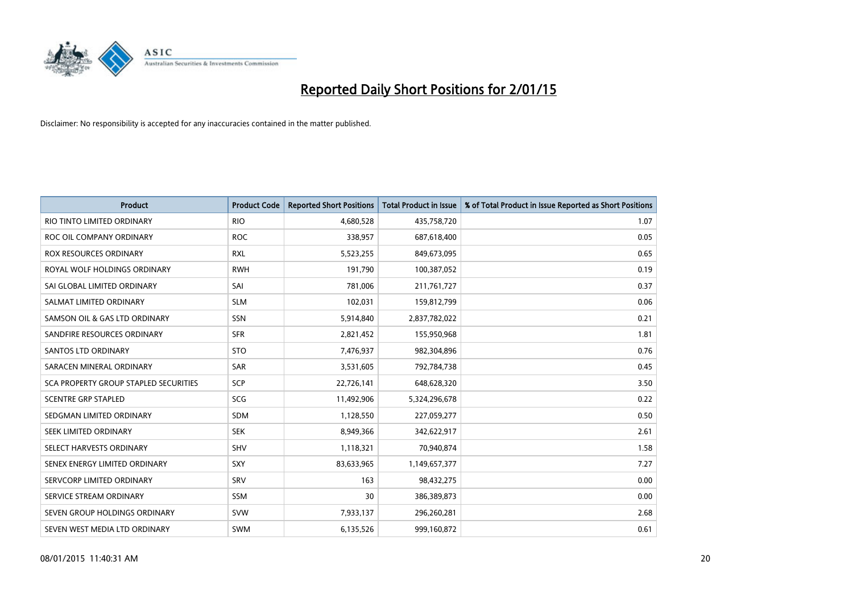![](_page_19_Picture_0.jpeg)

| <b>Product</b>                        | <b>Product Code</b> | <b>Reported Short Positions</b> | <b>Total Product in Issue</b> | % of Total Product in Issue Reported as Short Positions |
|---------------------------------------|---------------------|---------------------------------|-------------------------------|---------------------------------------------------------|
| RIO TINTO LIMITED ORDINARY            | <b>RIO</b>          | 4,680,528                       | 435,758,720                   | 1.07                                                    |
| ROC OIL COMPANY ORDINARY              | <b>ROC</b>          | 338,957                         | 687,618,400                   | 0.05                                                    |
| ROX RESOURCES ORDINARY                | <b>RXL</b>          | 5,523,255                       | 849,673,095                   | 0.65                                                    |
| ROYAL WOLF HOLDINGS ORDINARY          | <b>RWH</b>          | 191,790                         | 100,387,052                   | 0.19                                                    |
| SAI GLOBAL LIMITED ORDINARY           | SAI                 | 781,006                         | 211,761,727                   | 0.37                                                    |
| SALMAT LIMITED ORDINARY               | <b>SLM</b>          | 102,031                         | 159,812,799                   | 0.06                                                    |
| SAMSON OIL & GAS LTD ORDINARY         | <b>SSN</b>          | 5,914,840                       | 2,837,782,022                 | 0.21                                                    |
| SANDFIRE RESOURCES ORDINARY           | <b>SFR</b>          | 2,821,452                       | 155,950,968                   | 1.81                                                    |
| SANTOS LTD ORDINARY                   | <b>STO</b>          | 7,476,937                       | 982,304,896                   | 0.76                                                    |
| SARACEN MINERAL ORDINARY              | SAR                 | 3,531,605                       | 792,784,738                   | 0.45                                                    |
| SCA PROPERTY GROUP STAPLED SECURITIES | SCP                 | 22,726,141                      | 648,628,320                   | 3.50                                                    |
| <b>SCENTRE GRP STAPLED</b>            | <b>SCG</b>          | 11,492,906                      | 5,324,296,678                 | 0.22                                                    |
| SEDGMAN LIMITED ORDINARY              | <b>SDM</b>          | 1,128,550                       | 227,059,277                   | 0.50                                                    |
| SEEK LIMITED ORDINARY                 | <b>SEK</b>          | 8,949,366                       | 342,622,917                   | 2.61                                                    |
| SELECT HARVESTS ORDINARY              | <b>SHV</b>          | 1,118,321                       | 70,940,874                    | 1.58                                                    |
| SENEX ENERGY LIMITED ORDINARY         | SXY                 | 83,633,965                      | 1,149,657,377                 | 7.27                                                    |
| SERVCORP LIMITED ORDINARY             | SRV                 | 163                             | 98,432,275                    | 0.00                                                    |
| SERVICE STREAM ORDINARY               | <b>SSM</b>          | 30                              | 386,389,873                   | 0.00                                                    |
| SEVEN GROUP HOLDINGS ORDINARY         | <b>SVW</b>          | 7,933,137                       | 296,260,281                   | 2.68                                                    |
| SEVEN WEST MEDIA LTD ORDINARY         | <b>SWM</b>          | 6,135,526                       | 999,160,872                   | 0.61                                                    |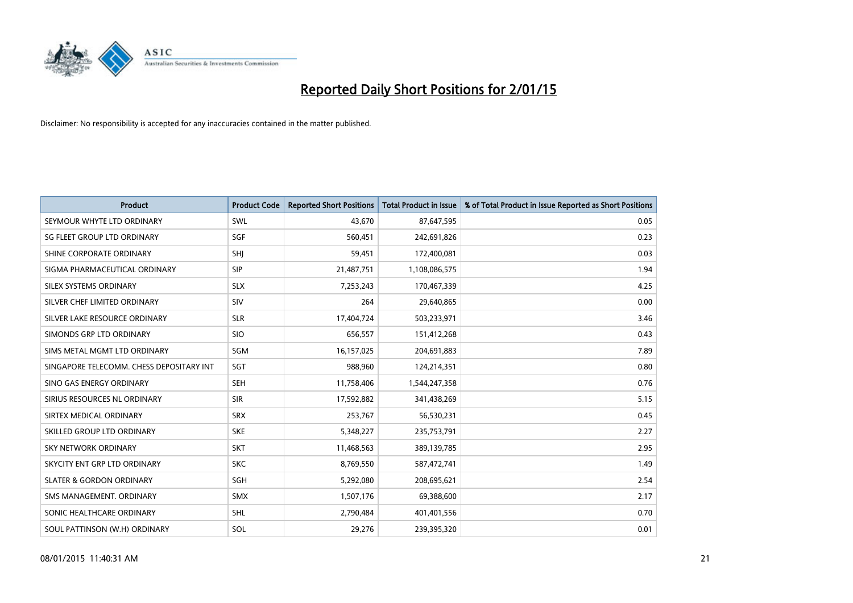![](_page_20_Picture_0.jpeg)

| <b>Product</b>                           | <b>Product Code</b> | <b>Reported Short Positions</b> | <b>Total Product in Issue</b> | % of Total Product in Issue Reported as Short Positions |
|------------------------------------------|---------------------|---------------------------------|-------------------------------|---------------------------------------------------------|
| SEYMOUR WHYTE LTD ORDINARY               | SWL                 | 43,670                          | 87,647,595                    | 0.05                                                    |
| SG FLEET GROUP LTD ORDINARY              | SGF                 | 560,451                         | 242,691,826                   | 0.23                                                    |
| SHINE CORPORATE ORDINARY                 | SHJ                 | 59,451                          | 172,400,081                   | 0.03                                                    |
| SIGMA PHARMACEUTICAL ORDINARY            | <b>SIP</b>          | 21,487,751                      | 1,108,086,575                 | 1.94                                                    |
| SILEX SYSTEMS ORDINARY                   | <b>SLX</b>          | 7,253,243                       | 170,467,339                   | 4.25                                                    |
| SILVER CHEF LIMITED ORDINARY             | <b>SIV</b>          | 264                             | 29,640,865                    | 0.00                                                    |
| SILVER LAKE RESOURCE ORDINARY            | <b>SLR</b>          | 17,404,724                      | 503,233,971                   | 3.46                                                    |
| SIMONDS GRP LTD ORDINARY                 | <b>SIO</b>          | 656,557                         | 151,412,268                   | 0.43                                                    |
| SIMS METAL MGMT LTD ORDINARY             | SGM                 | 16,157,025                      | 204,691,883                   | 7.89                                                    |
| SINGAPORE TELECOMM. CHESS DEPOSITARY INT | SGT                 | 988,960                         | 124,214,351                   | 0.80                                                    |
| SINO GAS ENERGY ORDINARY                 | <b>SEH</b>          | 11,758,406                      | 1,544,247,358                 | 0.76                                                    |
| SIRIUS RESOURCES NL ORDINARY             | <b>SIR</b>          | 17,592,882                      | 341,438,269                   | 5.15                                                    |
| SIRTEX MEDICAL ORDINARY                  | <b>SRX</b>          | 253,767                         | 56,530,231                    | 0.45                                                    |
| SKILLED GROUP LTD ORDINARY               | <b>SKE</b>          | 5,348,227                       | 235,753,791                   | 2.27                                                    |
| <b>SKY NETWORK ORDINARY</b>              | <b>SKT</b>          | 11,468,563                      | 389,139,785                   | 2.95                                                    |
| SKYCITY ENT GRP LTD ORDINARY             | <b>SKC</b>          | 8,769,550                       | 587,472,741                   | 1.49                                                    |
| <b>SLATER &amp; GORDON ORDINARY</b>      | SGH                 | 5,292,080                       | 208,695,621                   | 2.54                                                    |
| SMS MANAGEMENT, ORDINARY                 | <b>SMX</b>          | 1,507,176                       | 69,388,600                    | 2.17                                                    |
| SONIC HEALTHCARE ORDINARY                | <b>SHL</b>          | 2,790,484                       | 401,401,556                   | 0.70                                                    |
| SOUL PATTINSON (W.H) ORDINARY            | SOL                 | 29,276                          | 239,395,320                   | 0.01                                                    |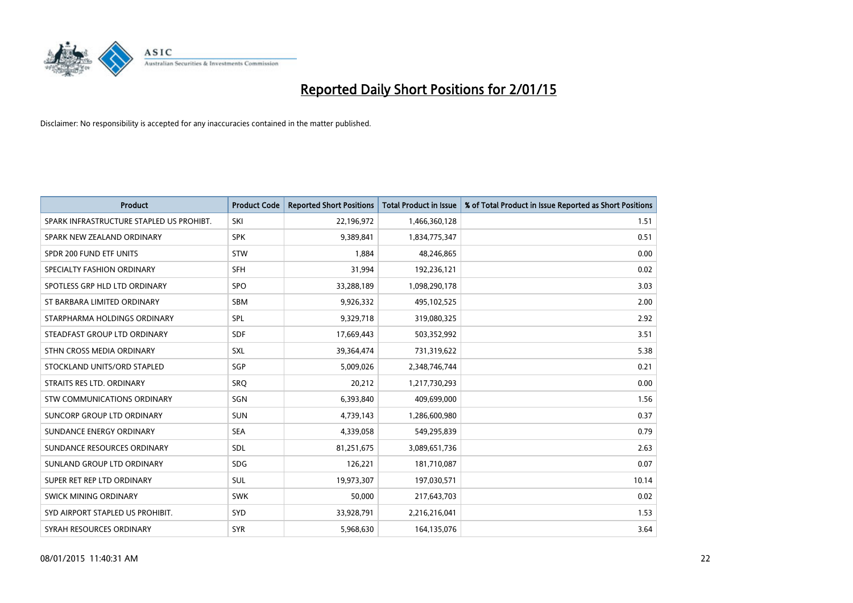![](_page_21_Picture_0.jpeg)

| <b>Product</b>                           | <b>Product Code</b> | <b>Reported Short Positions</b> | <b>Total Product in Issue</b> | % of Total Product in Issue Reported as Short Positions |
|------------------------------------------|---------------------|---------------------------------|-------------------------------|---------------------------------------------------------|
| SPARK INFRASTRUCTURE STAPLED US PROHIBT. | SKI                 | 22,196,972                      | 1,466,360,128                 | 1.51                                                    |
| SPARK NEW ZEALAND ORDINARY               | <b>SPK</b>          | 9,389,841                       | 1,834,775,347                 | 0.51                                                    |
| SPDR 200 FUND ETF UNITS                  | <b>STW</b>          | 1,884                           | 48,246,865                    | 0.00                                                    |
| SPECIALTY FASHION ORDINARY               | <b>SFH</b>          | 31,994                          | 192,236,121                   | 0.02                                                    |
| SPOTLESS GRP HLD LTD ORDINARY            | <b>SPO</b>          | 33,288,189                      | 1,098,290,178                 | 3.03                                                    |
| ST BARBARA LIMITED ORDINARY              | SBM                 | 9,926,332                       | 495,102,525                   | 2.00                                                    |
| STARPHARMA HOLDINGS ORDINARY             | <b>SPL</b>          | 9,329,718                       | 319,080,325                   | 2.92                                                    |
| STEADFAST GROUP LTD ORDINARY             | <b>SDF</b>          | 17,669,443                      | 503,352,992                   | 3.51                                                    |
| STHN CROSS MEDIA ORDINARY                | SXL                 | 39,364,474                      | 731,319,622                   | 5.38                                                    |
| STOCKLAND UNITS/ORD STAPLED              | SGP                 | 5,009,026                       | 2,348,746,744                 | 0.21                                                    |
| STRAITS RES LTD. ORDINARY                | SRO                 | 20,212                          | 1,217,730,293                 | 0.00                                                    |
| STW COMMUNICATIONS ORDINARY              | <b>SGN</b>          | 6,393,840                       | 409,699,000                   | 1.56                                                    |
| SUNCORP GROUP LTD ORDINARY               | <b>SUN</b>          | 4,739,143                       | 1,286,600,980                 | 0.37                                                    |
| SUNDANCE ENERGY ORDINARY                 | <b>SEA</b>          | 4,339,058                       | 549,295,839                   | 0.79                                                    |
| SUNDANCE RESOURCES ORDINARY              | <b>SDL</b>          | 81,251,675                      | 3,089,651,736                 | 2.63                                                    |
| SUNLAND GROUP LTD ORDINARY               | <b>SDG</b>          | 126,221                         | 181,710,087                   | 0.07                                                    |
| SUPER RET REP LTD ORDINARY               | SUL                 | 19,973,307                      | 197,030,571                   | 10.14                                                   |
| SWICK MINING ORDINARY                    | <b>SWK</b>          | 50.000                          | 217,643,703                   | 0.02                                                    |
| SYD AIRPORT STAPLED US PROHIBIT.         | SYD                 | 33,928,791                      | 2,216,216,041                 | 1.53                                                    |
| SYRAH RESOURCES ORDINARY                 | <b>SYR</b>          | 5,968,630                       | 164,135,076                   | 3.64                                                    |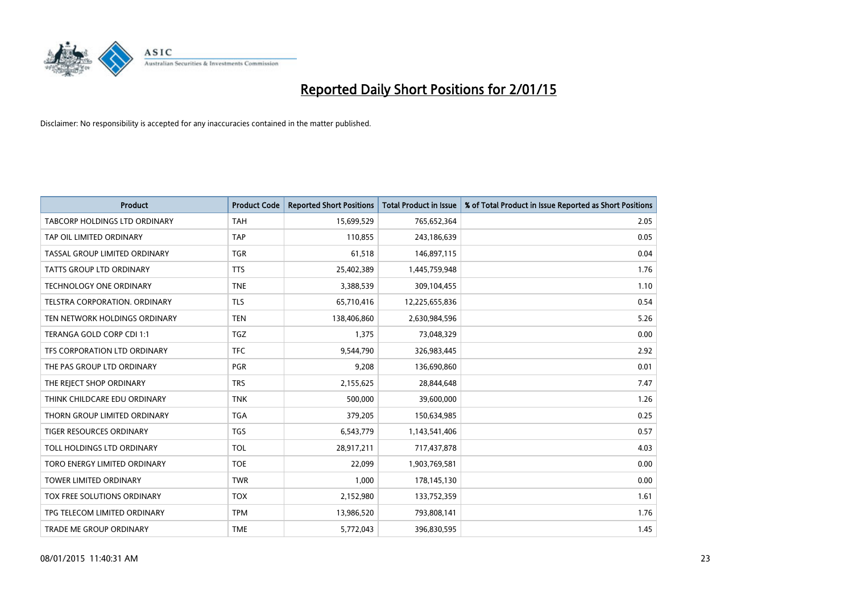![](_page_22_Picture_0.jpeg)

| <b>Product</b>                 | <b>Product Code</b> | <b>Reported Short Positions</b> | <b>Total Product in Issue</b> | % of Total Product in Issue Reported as Short Positions |
|--------------------------------|---------------------|---------------------------------|-------------------------------|---------------------------------------------------------|
| TABCORP HOLDINGS LTD ORDINARY  | <b>TAH</b>          | 15,699,529                      | 765,652,364                   | 2.05                                                    |
| TAP OIL LIMITED ORDINARY       | <b>TAP</b>          | 110,855                         | 243,186,639                   | 0.05                                                    |
| TASSAL GROUP LIMITED ORDINARY  | <b>TGR</b>          | 61,518                          | 146,897,115                   | 0.04                                                    |
| TATTS GROUP LTD ORDINARY       | <b>TTS</b>          | 25,402,389                      | 1,445,759,948                 | 1.76                                                    |
| <b>TECHNOLOGY ONE ORDINARY</b> | <b>TNE</b>          | 3,388,539                       | 309,104,455                   | 1.10                                                    |
| TELSTRA CORPORATION, ORDINARY  | <b>TLS</b>          | 65,710,416                      | 12,225,655,836                | 0.54                                                    |
| TEN NETWORK HOLDINGS ORDINARY  | <b>TEN</b>          | 138,406,860                     | 2,630,984,596                 | 5.26                                                    |
| TERANGA GOLD CORP CDI 1:1      | <b>TGZ</b>          | 1,375                           | 73,048,329                    | 0.00                                                    |
| TFS CORPORATION LTD ORDINARY   | <b>TFC</b>          | 9,544,790                       | 326,983,445                   | 2.92                                                    |
| THE PAS GROUP LTD ORDINARY     | <b>PGR</b>          | 9,208                           | 136,690,860                   | 0.01                                                    |
| THE REJECT SHOP ORDINARY       | <b>TRS</b>          | 2,155,625                       | 28,844,648                    | 7.47                                                    |
| THINK CHILDCARE EDU ORDINARY   | <b>TNK</b>          | 500,000                         | 39,600,000                    | 1.26                                                    |
| THORN GROUP LIMITED ORDINARY   | <b>TGA</b>          | 379,205                         | 150,634,985                   | 0.25                                                    |
| TIGER RESOURCES ORDINARY       | TGS                 | 6,543,779                       | 1,143,541,406                 | 0.57                                                    |
| TOLL HOLDINGS LTD ORDINARY     | <b>TOL</b>          | 28,917,211                      | 717,437,878                   | 4.03                                                    |
| TORO ENERGY LIMITED ORDINARY   | <b>TOE</b>          | 22,099                          | 1,903,769,581                 | 0.00                                                    |
| TOWER LIMITED ORDINARY         | <b>TWR</b>          | 1,000                           | 178,145,130                   | 0.00                                                    |
| TOX FREE SOLUTIONS ORDINARY    | <b>TOX</b>          | 2,152,980                       | 133,752,359                   | 1.61                                                    |
| TPG TELECOM LIMITED ORDINARY   | <b>TPM</b>          | 13,986,520                      | 793,808,141                   | 1.76                                                    |
| TRADE ME GROUP ORDINARY        | <b>TME</b>          | 5,772,043                       | 396,830,595                   | 1.45                                                    |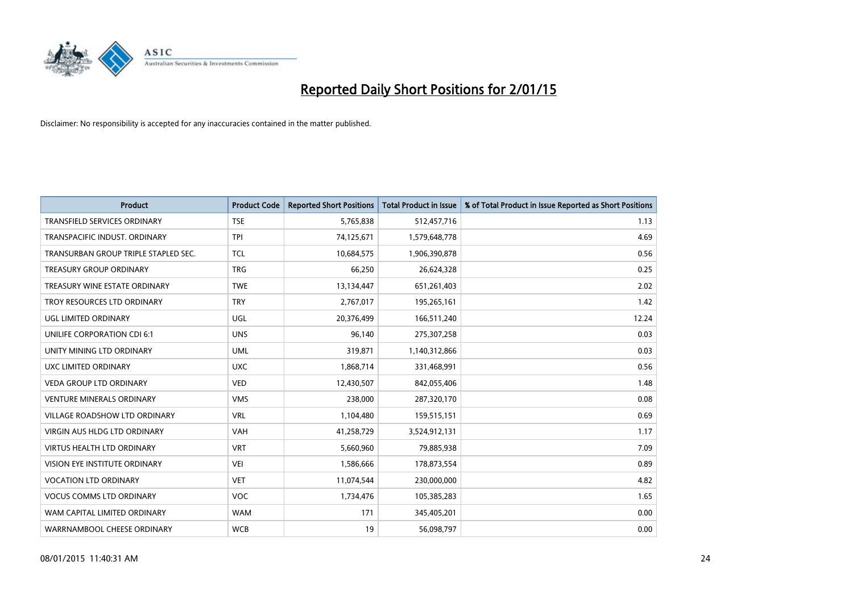![](_page_23_Picture_0.jpeg)

| <b>Product</b>                       | <b>Product Code</b> | <b>Reported Short Positions</b> | <b>Total Product in Issue</b> | % of Total Product in Issue Reported as Short Positions |
|--------------------------------------|---------------------|---------------------------------|-------------------------------|---------------------------------------------------------|
| <b>TRANSFIELD SERVICES ORDINARY</b>  | <b>TSE</b>          | 5,765,838                       | 512,457,716                   | 1.13                                                    |
| TRANSPACIFIC INDUST. ORDINARY        | TPI                 | 74,125,671                      | 1,579,648,778                 | 4.69                                                    |
| TRANSURBAN GROUP TRIPLE STAPLED SEC. | <b>TCL</b>          | 10,684,575                      | 1,906,390,878                 | 0.56                                                    |
| TREASURY GROUP ORDINARY              | <b>TRG</b>          | 66,250                          | 26,624,328                    | 0.25                                                    |
| TREASURY WINE ESTATE ORDINARY        | <b>TWE</b>          | 13,134,447                      | 651,261,403                   | 2.02                                                    |
| TROY RESOURCES LTD ORDINARY          | <b>TRY</b>          | 2,767,017                       | 195,265,161                   | 1.42                                                    |
| UGL LIMITED ORDINARY                 | UGL                 | 20,376,499                      | 166,511,240                   | 12.24                                                   |
| UNILIFE CORPORATION CDI 6:1          | <b>UNS</b>          | 96,140                          | 275,307,258                   | 0.03                                                    |
| UNITY MINING LTD ORDINARY            | <b>UML</b>          | 319,871                         | 1,140,312,866                 | 0.03                                                    |
| <b>UXC LIMITED ORDINARY</b>          | <b>UXC</b>          | 1,868,714                       | 331,468,991                   | 0.56                                                    |
| VEDA GROUP LTD ORDINARY              | <b>VED</b>          | 12,430,507                      | 842,055,406                   | 1.48                                                    |
| <b>VENTURE MINERALS ORDINARY</b>     | <b>VMS</b>          | 238,000                         | 287,320,170                   | 0.08                                                    |
| VILLAGE ROADSHOW LTD ORDINARY        | <b>VRL</b>          | 1,104,480                       | 159,515,151                   | 0.69                                                    |
| <b>VIRGIN AUS HLDG LTD ORDINARY</b>  | <b>VAH</b>          | 41,258,729                      | 3,524,912,131                 | 1.17                                                    |
| <b>VIRTUS HEALTH LTD ORDINARY</b>    | <b>VRT</b>          | 5,660,960                       | 79,885,938                    | 7.09                                                    |
| VISION EYE INSTITUTE ORDINARY        | <b>VEI</b>          | 1,586,666                       | 178,873,554                   | 0.89                                                    |
| <b>VOCATION LTD ORDINARY</b>         | <b>VET</b>          | 11,074,544                      | 230,000,000                   | 4.82                                                    |
| <b>VOCUS COMMS LTD ORDINARY</b>      | <b>VOC</b>          | 1,734,476                       | 105,385,283                   | 1.65                                                    |
| WAM CAPITAL LIMITED ORDINARY         | <b>WAM</b>          | 171                             | 345,405,201                   | 0.00                                                    |
| WARRNAMBOOL CHEESE ORDINARY          | <b>WCB</b>          | 19                              | 56,098,797                    | 0.00                                                    |